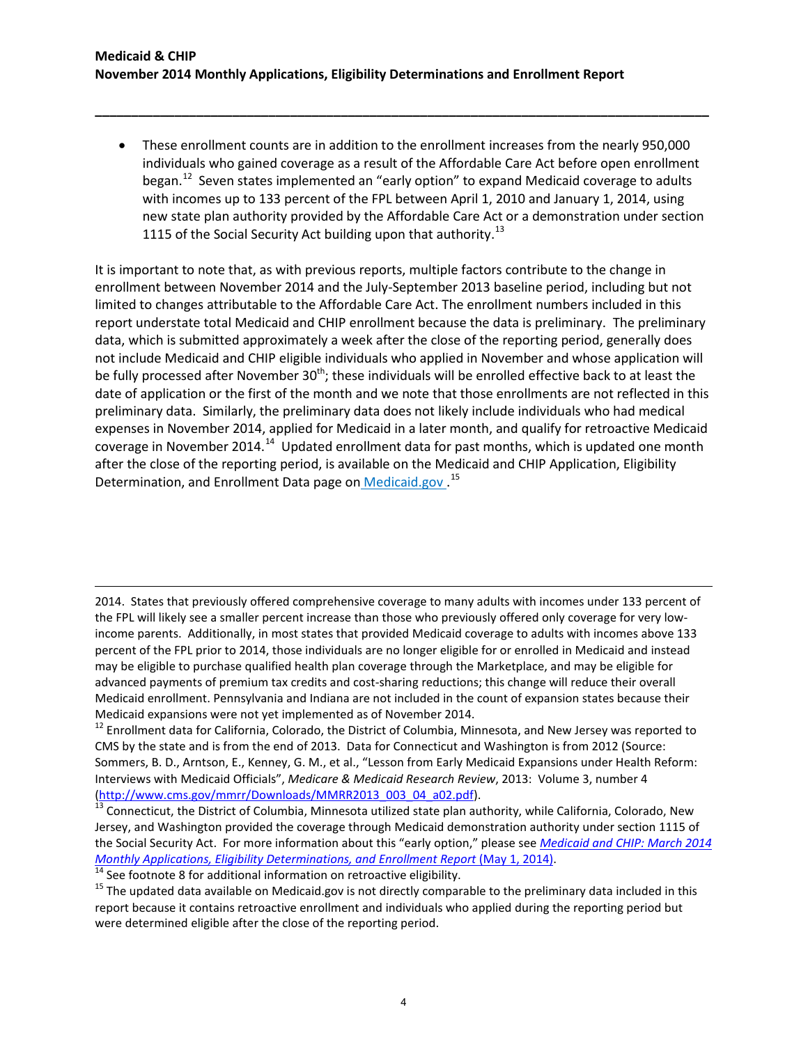• These enrollment counts are in addition to the enrollment increases from the nearly 950,000 individuals who gained coverage as a result of the Affordable Care Act before open enrollment began.<sup>12</sup> Seven states implemented an "early option" to expand Medicaid coverage to adults with incomes up to 133 percent of the FPL between April 1, 2010 and January 1, 2014, using new state plan authority provided by the Affordable Care Act or a demonstration under section 1115 of the Social Security Act building upon that authority.<sup>[13](#page-3-1)</sup>

**\_\_\_\_\_\_\_\_\_\_\_\_\_\_\_\_\_\_\_\_\_\_\_\_\_\_\_\_\_\_\_\_\_\_\_\_\_\_\_\_\_\_\_\_\_\_\_\_\_\_\_\_\_\_\_\_\_\_\_\_\_\_\_\_\_\_\_\_\_\_\_\_\_\_\_\_\_\_\_\_\_\_\_\_\_**

It is important to note that, as with previous reports, multiple factors contribute to the change in enrollment between November 2014 and the July-September 2013 baseline period, including but not limited to changes attributable to the Affordable Care Act. The enrollment numbers included in this report understate total Medicaid and CHIP enrollment because the data is preliminary. The preliminary data, which is submitted approximately a week after the close of the reporting period, generally does not include Medicaid and CHIP eligible individuals who applied in November and whose application will be fully processed after November 30<sup>th</sup>; these individuals will be enrolled effective back to at least the date of application or the first of the month and we note that those enrollments are not reflected in this preliminary data. Similarly, the preliminary data does not likely include individuals who had medical expenses in November 2014, applied for Medicaid in a later month, and qualify for retroactive Medicaid coverage in November 20[14](#page-3-2).<sup>14</sup> Updated enrollment data for past months, which is updated one month after the close of the reporting period, is available on the Medicaid and CHIP Application, Eligibility Determination, and Enrollment Data page on Medicaid.gov.<sup>[15](#page-3-3)</sup>

2014. States that previously offered comprehensive coverage to many adults with incomes under 133 percent of the FPL will likely see a smaller percent increase than those who previously offered only coverage for very lowincome parents. Additionally, in most states that provided Medicaid coverage to adults with incomes above 133 percent of the FPL prior to 2014, those individuals are no longer eligible for or enrolled in Medicaid and instead may be eligible to purchase qualified health plan coverage through the Marketplace, and may be eligible for advanced payments of premium tax credits and cost-sharing reductions; this change will reduce their overall Medicaid enrollment. Pennsylvania and Indiana are not included in the count of expansion states because their

<span id="page-3-0"></span>Medicaid expansions were not yet implemented as of November 2014.<br><sup>12</sup> Enrollment data for California, Colorado, the District of Columbia, Minnesota, and New Jersey was reported to CMS by the state and is from the end of 2013. Data for Connecticut and Washington is from 2012 (Source: Sommers, B. D., Arntson, E., Kenney, G. M., et al., "Lesson from Early Medicaid Expansions under Health Reform: Interviews with Medicaid Officials", *Medicare & Medicaid Research Review*, 2013: Volume 3, number 4

l

<span id="page-3-1"></span>[<sup>\(</sup>http://www.cms.gov/mmrr/Downloads/MMRR2013\\_003\\_04\\_a02.pdf\)](http://www.cms.gov/mmrr/Downloads/MMRR2013_003_04_a02.pdf).<br><sup>13</sup> Connecticut, the District of Columbia, Minnesota utilized state plan authority, while California, Colorado, New Jersey, and Washington provided the coverage through Medicaid demonstration authority under section 1115 of the Social Security Act. For more information about this "early option," please see *[Medicaid and CHIP: March 2014](http://www.medicaid.gov/medicaid-chip-program-information/program-information/downloads/march-2014-enrollment-report.pdf)*  Monthly Applications, Eligibility Determinations, and Enrollment Report (May 1, 2014).<br>
<sup>14</sup> See footnote 8 for additional information on retroactive eligibility.<br>
<sup>15</sup> The updated data available on Medicaid.gov is not di

<span id="page-3-2"></span>

<span id="page-3-3"></span>report because it contains retroactive enrollment and individuals who applied during the reporting period but were determined eligible after the close of the reporting period.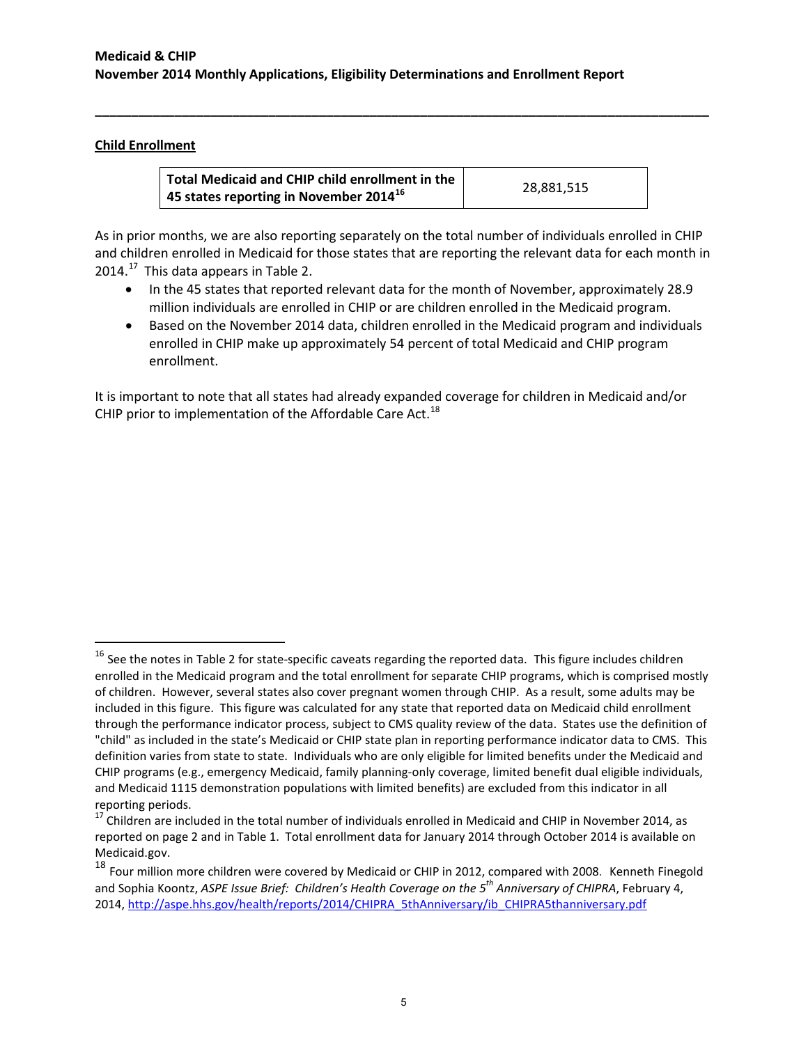# **Child Enrollment**

l

| Total Medicaid and CHIP child enrollment in the                 |            |
|-----------------------------------------------------------------|------------|
| <sup>1</sup> 45 states reporting in November 2014 <sup>16</sup> | 28.881.515 |

**\_\_\_\_\_\_\_\_\_\_\_\_\_\_\_\_\_\_\_\_\_\_\_\_\_\_\_\_\_\_\_\_\_\_\_\_\_\_\_\_\_\_\_\_\_\_\_\_\_\_\_\_\_\_\_\_\_\_\_\_\_\_\_\_\_\_\_\_\_\_\_\_\_\_\_\_\_\_\_\_\_\_\_\_\_**

As in prior months, we are also reporting separately on the total number of individuals enrolled in CHIP and children enrolled in Medicaid for those states that are reporting the relevant data for each month in  $2014.<sup>17</sup>$  This data appears in Table 2.

- In the 45 states that reported relevant data for the month of November, approximately 28.9 million individuals are enrolled in CHIP or are children enrolled in the Medicaid program.
- Based on the November 2014 data, children enrolled in the Medicaid program and individuals enrolled in CHIP make up approximately 54 percent of total Medicaid and CHIP program enrollment.

It is important to note that all states had already expanded coverage for children in Medicaid and/or CHIP prior to implementation of the Affordable Care Act.<sup>[18](#page-4-2)</sup>

<span id="page-4-0"></span> $16$  See the notes in Table 2 for state-specific caveats regarding the reported data. This figure includes children enrolled in the Medicaid program and the total enrollment for separate CHIP programs, which is comprised mostly of children. However, several states also cover pregnant women through CHIP. As a result, some adults may be included in this figure. This figure was calculated for any state that reported data on Medicaid child enrollment through the performance indicator process, subject to CMS quality review of the data. States use the definition of "child" as included in the state's Medicaid or CHIP state plan in reporting performance indicator data to CMS. This definition varies from state to state. Individuals who are only eligible for limited benefits under the Medicaid and CHIP programs (e.g., emergency Medicaid, family planning-only coverage, limited benefit dual eligible individuals, and Medicaid 1115 demonstration populations with limited benefits) are excluded from this indicator in all reporting periods.<br><sup>17</sup> Children are included in the total number of individuals enrolled in Medicaid and CHIP in November 2014, as

<span id="page-4-1"></span>reported on page 2 and in Table 1. Total enrollment data for January 2014 through October 2014 is available on Medicaid.gov.

<span id="page-4-2"></span><sup>&</sup>lt;sup>18</sup> Four million more children were covered by Medicaid or CHIP in 2012, compared with 2008. Kenneth Finegold and Sophia Koontz, *ASPE Issue Brief: Children's Health Coverage on the 5th Anniversary of CHIPRA*, February 4, 2014, [http://aspe.hhs.gov/health/reports/2014/CHIPRA\\_5thAnniversary/ib\\_CHIPRA5thanniversary.pdf](http://aspe.hhs.gov/health/reports/2014/CHIPRA_5thAnniversary/ib_CHIPRA5thanniversary.pdf)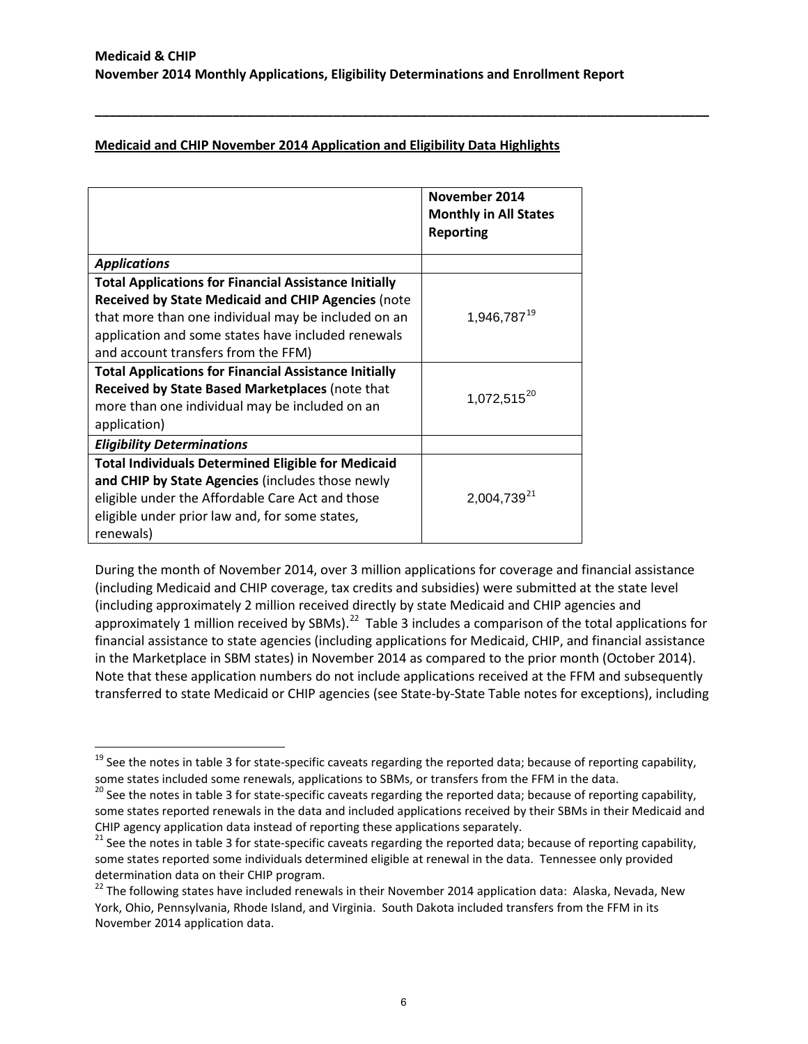**\_\_\_\_\_\_\_\_\_\_\_\_\_\_\_\_\_\_\_\_\_\_\_\_\_\_\_\_\_\_\_\_\_\_\_\_\_\_\_\_\_\_\_\_\_\_\_\_\_\_\_\_\_\_\_\_\_\_\_\_\_\_\_\_\_\_\_\_\_\_\_\_\_\_\_\_\_\_\_\_\_\_\_\_\_**

# **Medicaid and CHIP November 2014 Application and Eligibility Data Highlights**

|                                                              | November 2014<br><b>Monthly in All States</b><br><b>Reporting</b> |
|--------------------------------------------------------------|-------------------------------------------------------------------|
| <b>Applications</b>                                          |                                                                   |
| <b>Total Applications for Financial Assistance Initially</b> |                                                                   |
| <b>Received by State Medicaid and CHIP Agencies (note</b>    |                                                                   |
| that more than one individual may be included on an          | 1,946,787 <sup>19</sup>                                           |
| application and some states have included renewals           |                                                                   |
| and account transfers from the FFM)                          |                                                                   |
| <b>Total Applications for Financial Assistance Initially</b> |                                                                   |
| Received by State Based Marketplaces (note that              | $1,072,515^{20}$                                                  |
| more than one individual may be included on an               |                                                                   |
| application)                                                 |                                                                   |
| <b>Eligibility Determinations</b>                            |                                                                   |
| <b>Total Individuals Determined Eligible for Medicaid</b>    |                                                                   |
| and CHIP by State Agencies (includes those newly             |                                                                   |
| eligible under the Affordable Care Act and those             | 2,004,739 <sup>21</sup>                                           |
| eligible under prior law and, for some states,               |                                                                   |
| renewals)                                                    |                                                                   |

During the month of November 2014, over 3 million applications for coverage and financial assistance (including Medicaid and CHIP coverage, tax credits and subsidies) were submitted at the state level (including approximately 2 million received directly by state Medicaid and CHIP agencies and approximately 1 million received by SBMs).<sup>[22](#page-5-3)</sup> Table 3 includes a comparison of the total applications for financial assistance to state agencies (including applications for Medicaid, CHIP, and financial assistance in the Marketplace in SBM states) in November 2014 as compared to the prior month (October 2014). Note that these application numbers do not include applications received at the FFM and subsequently transferred to state Medicaid or CHIP agencies (see State-by-State Table notes for exceptions), including

 $\overline{\phantom{a}}$ 

<span id="page-5-0"></span><sup>&</sup>lt;sup>19</sup> See the notes in table 3 for state-specific caveats regarding the reported data; because of reporting capability, some states included some renewals, applications to SBMs, or transfers from the FFM in the data.

<span id="page-5-1"></span><sup>&</sup>lt;sup>20</sup> See the notes in table 3 for state-specific caveats regarding the reported data; because of reporting capability, some states reported renewals in the data and included applications received by their SBMs in their Medicaid and

<span id="page-5-2"></span>CHIP agency application data instead of reporting these applications separately.<br><sup>21</sup> See the notes in table 3 for state-specific caveats regarding the reported data; because of reporting capability, some states reported some individuals determined eligible at renewal in the data. Tennessee only provided determination data on their CHIP program.

<span id="page-5-3"></span><sup>&</sup>lt;sup>22</sup> The following states have included renewals in their November 2014 application data: Alaska, Nevada, New York, Ohio, Pennsylvania, Rhode Island, and Virginia. South Dakota included transfers from the FFM in its November 2014 application data.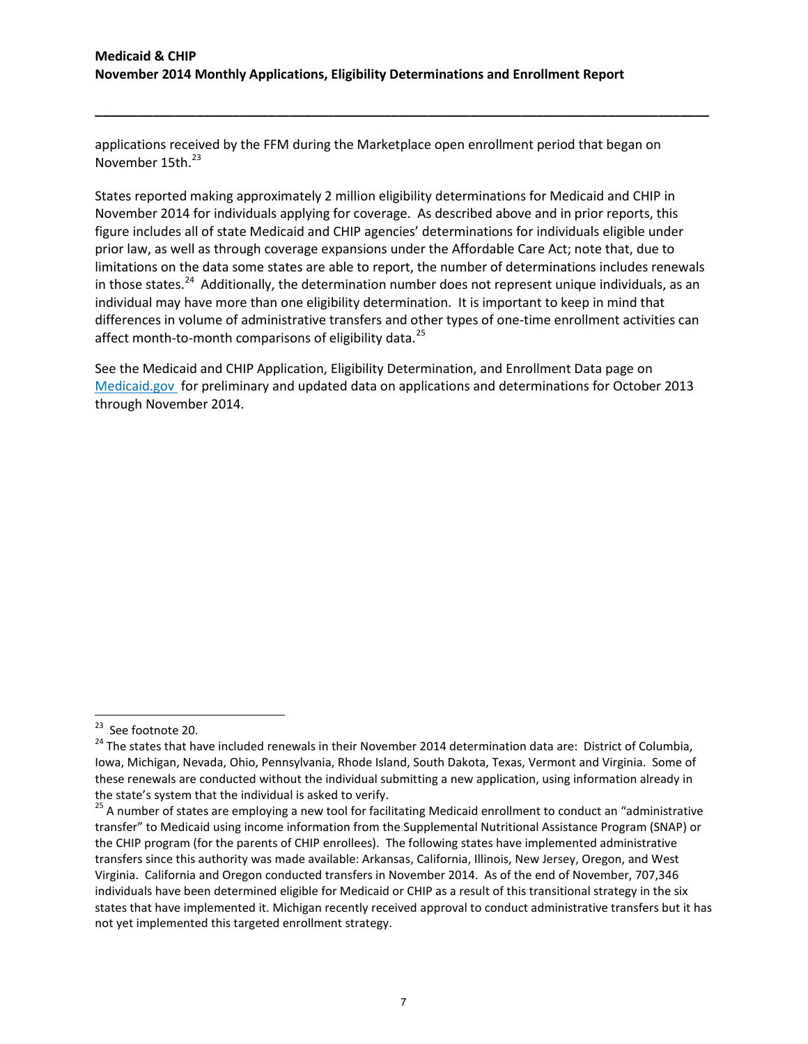applications received by the FFM during the Marketplace open enrollment period that began on November 15th.<sup>[23](#page-6-0)</sup>

**\_\_\_\_\_\_\_\_\_\_\_\_\_\_\_\_\_\_\_\_\_\_\_\_\_\_\_\_\_\_\_\_\_\_\_\_\_\_\_\_\_\_\_\_\_\_\_\_\_\_\_\_\_\_\_\_\_\_\_\_\_\_\_\_\_\_\_\_\_\_\_\_\_\_\_\_\_\_\_\_\_\_\_\_\_**

States reported making approximately 2 million eligibility determinations for Medicaid and CHIP in November 2014 for individuals applying for coverage. As described above and in prior reports, this figure includes all of state Medicaid and CHIP agencies' determinations for individuals eligible under prior law, as well as through coverage expansions under the Affordable Care Act; note that, due to limitations on the data some states are able to report, the number of determinations includes renewals in those states.<sup>[24](#page-6-1)</sup> Additionally, the determination number does not represent unique individuals, as an individual may have more than one eligibility determination. It is important to keep in mind that differences in volume of administrative transfers and other types of one-time enrollment activities can affect month-to-month comparisons of eligibility data.<sup>25</sup>

See the Medicaid and CHIP Application, Eligibility Determination, and Enrollment Data page on [Medicaid.gov](http://www.medicaid.gov/medicaid-chip-program-information/program-information/medicaid-and-chip-enrollment-data/medicaid-and-chip-application-eligibility-determination-and-enrollment-data.html) for preliminary and updated data on applications and determinations for October 2013 through November 2014.

<span id="page-6-0"></span><sup>&</sup>lt;sup>23</sup> See footnote 20.

<span id="page-6-1"></span><sup>&</sup>lt;sup>24</sup> The states that have included renewals in their November 2014 determination data are: District of Columbia, Iowa, Michigan, Nevada, Ohio, Pennsylvania, Rhode Island, South Dakota, Texas, Vermont and Virginia. Some of these renewals are conducted without the individual submitting a new application, using information already in

<span id="page-6-2"></span>the state's system that the individual is asked to verify.<br><sup>25</sup> A number of states are employing a new tool for facilitating Medicaid enrollment to conduct an "administrative transfer" to Medicaid using income information from the Supplemental Nutritional Assistance Program (SNAP) or the CHIP program (for the parents of CHIP enrollees). The following states have implemented administrative transfers since this authority was made available: Arkansas, California, Illinois, New Jersey, Oregon, and West Virginia. California and Oregon conducted transfers in November 2014. As of the end of November, 707,346 individuals have been determined eligible for Medicaid or CHIP as a result of this transitional strategy in the six states that have implemented it. Michigan recently received approval to conduct administrative transfers but it has not yet implemented this targeted enrollment strategy.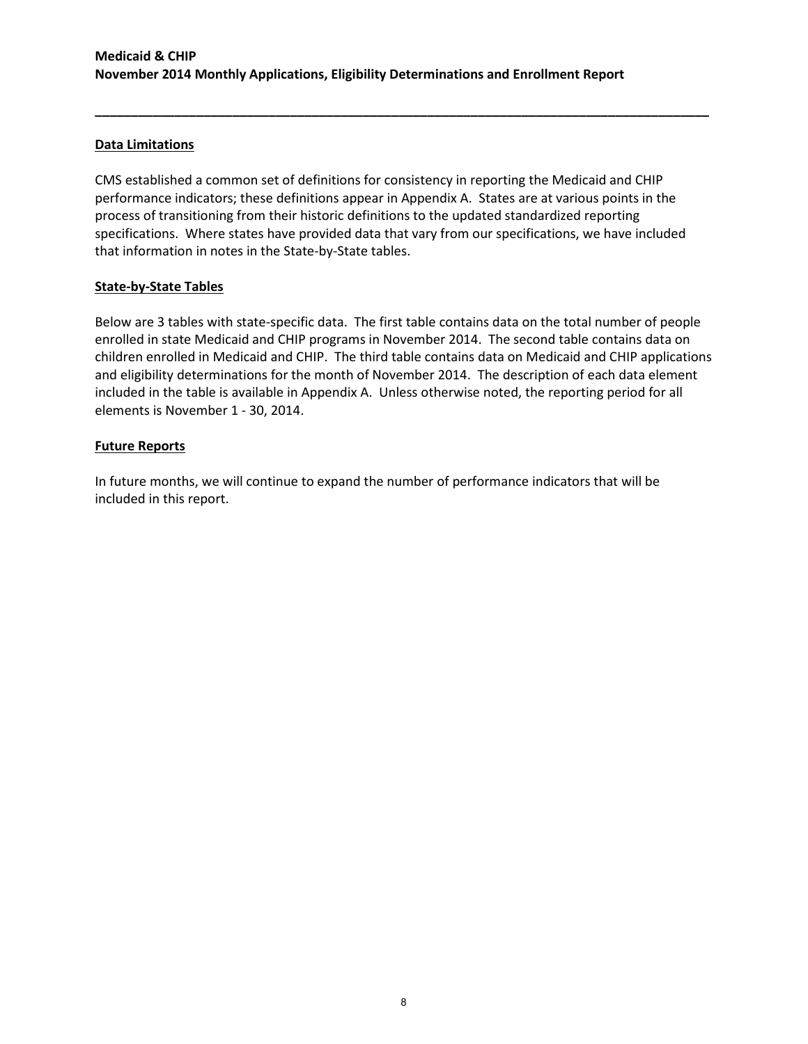# **Data Limitations**

CMS established a common set of definitions for consistency in reporting the Medicaid and CHIP performance indicators; these definitions appear in Appendix A. States are at various points in the process of transitioning from their historic definitions to the updated standardized reporting specifications. Where states have provided data that vary from our specifications, we have included that information in notes in the State-by-State tables.

**\_\_\_\_\_\_\_\_\_\_\_\_\_\_\_\_\_\_\_\_\_\_\_\_\_\_\_\_\_\_\_\_\_\_\_\_\_\_\_\_\_\_\_\_\_\_\_\_\_\_\_\_\_\_\_\_\_\_\_\_\_\_\_\_\_\_\_\_\_\_\_\_\_\_\_\_\_\_\_\_\_\_\_\_\_**

### **State-by-State Tables**

Below are 3 tables with state-specific data. The first table contains data on the total number of people enrolled in state Medicaid and CHIP programs in November 2014. The second table contains data on children enrolled in Medicaid and CHIP. The third table contains data on Medicaid and CHIP applications and eligibility determinations for the month of November 2014. The description of each data element included in the table is available in Appendix A. Unless otherwise noted, the reporting period for all elements is November 1 - 30, 2014.

## **Future Reports**

In future months, we will continue to expand the number of performance indicators that will be included in this report.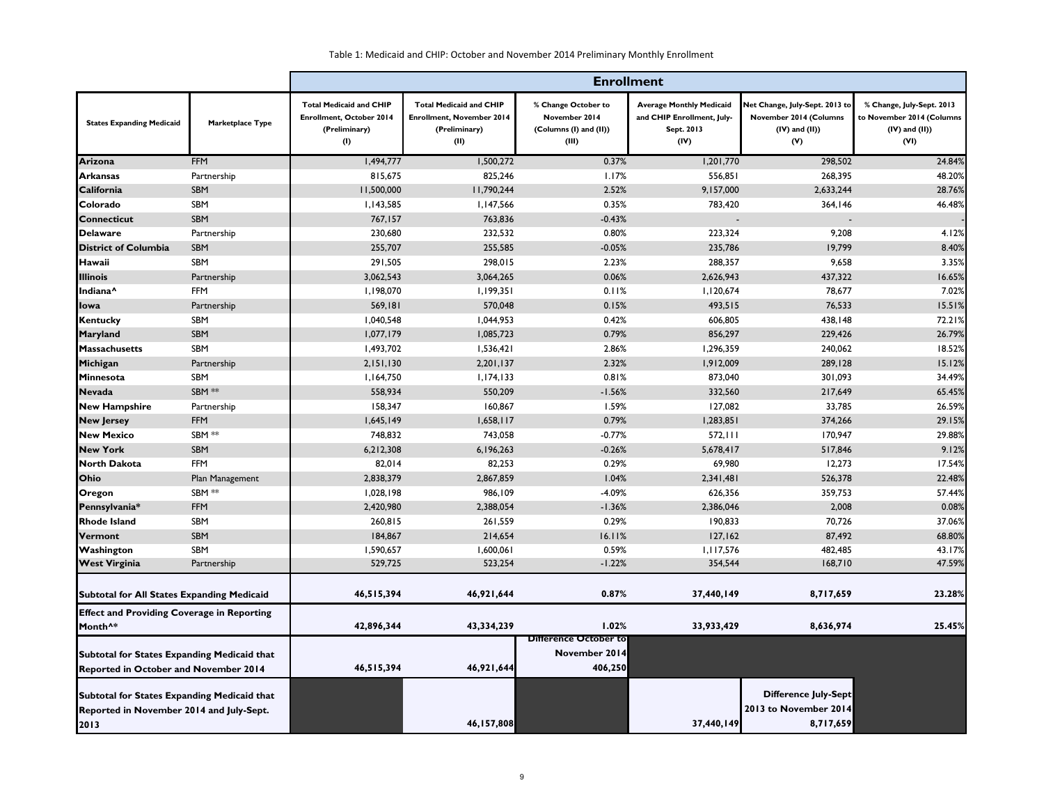|                                                    |                  |                                                                                           | <b>Enrollment</b>                                                                           |                                                                         |                                                                                     |                                                                                        |                                                                                       |  |  |  |
|----------------------------------------------------|------------------|-------------------------------------------------------------------------------------------|---------------------------------------------------------------------------------------------|-------------------------------------------------------------------------|-------------------------------------------------------------------------------------|----------------------------------------------------------------------------------------|---------------------------------------------------------------------------------------|--|--|--|
| <b>States Expanding Medicaid</b>                   | Marketplace Type | <b>Total Medicaid and CHIP</b><br><b>Enrollment, October 2014</b><br>(Preliminary)<br>(1) | <b>Total Medicaid and CHIP</b><br><b>Enrollment, November 2014</b><br>(Preliminary)<br>(II) | % Change October to<br>November 2014<br>(Columns (I) and (II))<br>(III) | <b>Average Monthly Medicaid</b><br>and CHIP Enrollment, July-<br>Sept. 2013<br>(IV) | Net Change, July-Sept. 2013 to<br>November 2014 (Columns<br>$(IV)$ and $(II)$ )<br>(V) | % Change, July-Sept. 2013<br>to November 2014 (Columns<br>$(IV)$ and $(II)$ )<br>(VI) |  |  |  |
| Arizona                                            | <b>FFM</b>       | 1,494,777                                                                                 | 1,500,272                                                                                   | 0.37%                                                                   | 1,201,770                                                                           | 298,502                                                                                | 24.84%                                                                                |  |  |  |
| Arkansas                                           | Partnership      | 815,675                                                                                   | 825,246                                                                                     | 1.17%                                                                   | 556,851                                                                             | 268,395                                                                                | 48.20%                                                                                |  |  |  |
| <b>California</b>                                  | SBM              | 11,500,000                                                                                | 11,790,244                                                                                  | 2.52%                                                                   | 9,157,000                                                                           | 2,633,244                                                                              | 28.76%                                                                                |  |  |  |
| Colorado                                           | SBM              | 1,143,585                                                                                 | 1,147,566                                                                                   | 0.35%                                                                   | 783,420                                                                             | 364,146                                                                                | 46.48%                                                                                |  |  |  |
| <b>Connecticut</b>                                 | SBM              | 767,157                                                                                   | 763,836                                                                                     | $-0.43%$                                                                |                                                                                     |                                                                                        |                                                                                       |  |  |  |
| <b>Delaware</b>                                    | Partnership      | 230,680                                                                                   | 232,532                                                                                     | 0.80%                                                                   | 223,324                                                                             | 9,208                                                                                  | 4.12%                                                                                 |  |  |  |
| <b>District of Columbia</b>                        | <b>SBM</b>       | 255,707                                                                                   | 255,585                                                                                     | $-0.05%$                                                                | 235,786                                                                             | 19,799                                                                                 | 8.40%                                                                                 |  |  |  |
| Hawaii                                             | SBM              | 291,505                                                                                   | 298,015                                                                                     | 2.23%                                                                   | 288,357                                                                             | 9,658                                                                                  | 3.35%                                                                                 |  |  |  |
| <b>Illinois</b>                                    | Partnership      | 3,062,543                                                                                 | 3,064,265                                                                                   | 0.06%                                                                   | 2,626,943                                                                           | 437,322                                                                                | 16.65%                                                                                |  |  |  |
| Indiana <sup>^</sup>                               | <b>FFM</b>       | 1,198,070                                                                                 | 1,199,351                                                                                   | 0.11%                                                                   | 1,120,674                                                                           | 78,677                                                                                 | 7.02%                                                                                 |  |  |  |
| lowa                                               | Partnership      | 569,181                                                                                   | 570,048                                                                                     | 0.15%                                                                   | 493,515                                                                             | 76,533                                                                                 | 15.51%                                                                                |  |  |  |
| <b>Kentucky</b>                                    | SBM              | 1,040,548                                                                                 | 1,044,953                                                                                   | 0.42%                                                                   | 606,805                                                                             | 438,148                                                                                | 72.21%                                                                                |  |  |  |
| <b>Maryland</b>                                    | SBM              | 1,077,179                                                                                 | 1,085,723                                                                                   | 0.79%                                                                   | 856,297                                                                             | 229,426                                                                                | 26.79%                                                                                |  |  |  |
| <b>Massachusetts</b>                               | SBM              | 1,493,702                                                                                 | 1,536,421                                                                                   | 2.86%                                                                   | 1,296,359                                                                           | 240,062                                                                                | 18.52%                                                                                |  |  |  |
| Michigan                                           | Partnership      | 2,151,130                                                                                 | 2,201,137                                                                                   | 2.32%                                                                   | 1,912,009                                                                           | 289,128                                                                                | 15.12%                                                                                |  |  |  |
| Minnesota                                          | SBM              | 1,164,750                                                                                 | 1,174,133                                                                                   | 0.81%                                                                   | 873,040                                                                             | 301,093                                                                                | 34.49%                                                                                |  |  |  |
| <b>Nevada</b>                                      | SBM **           | 558,934                                                                                   | 550,209                                                                                     | $-1.56%$                                                                | 332,560                                                                             | 217,649                                                                                | 65.45%                                                                                |  |  |  |
| <b>New Hampshire</b>                               | Partnership      | 158,347                                                                                   | 160,867                                                                                     | 1.59%                                                                   | 127,082                                                                             | 33,785                                                                                 | 26.59%                                                                                |  |  |  |
| <b>New Jersey</b>                                  | <b>FFM</b>       | 1,645,149                                                                                 | 1,658,117                                                                                   | 0.79%                                                                   | 1,283,851                                                                           | 374,266                                                                                | 29.15%                                                                                |  |  |  |
| <b>New Mexico</b>                                  | SBM **           | 748,832                                                                                   | 743,058                                                                                     | $-0.77%$                                                                | 572, 111                                                                            | 170,947                                                                                | 29.88%                                                                                |  |  |  |
| <b>New York</b>                                    | SBM              | 6,212,308                                                                                 | 6,196,263                                                                                   | $-0.26%$                                                                | 5,678,417                                                                           | 517,846                                                                                | 9.12%                                                                                 |  |  |  |
| North Dakota                                       | <b>FFM</b>       | 82,014                                                                                    | 82,253                                                                                      | 0.29%                                                                   | 69,980                                                                              | 12,273                                                                                 | 17.54%                                                                                |  |  |  |
| Ohio                                               | Plan Management  | 2,838,379                                                                                 | 2,867,859                                                                                   | 1.04%                                                                   | 2,341,481                                                                           | 526,378                                                                                | 22.48%                                                                                |  |  |  |
| Oregon                                             | SBM **           | 1,028,198                                                                                 | 986,109                                                                                     | $-4.09%$                                                                | 626,356                                                                             | 359,753                                                                                | 57.44%                                                                                |  |  |  |
| Pennsylvania*                                      | <b>FFM</b>       | 2,420,980                                                                                 | 2,388,054                                                                                   | $-1.36%$                                                                | 2,386,046                                                                           | 2,008                                                                                  | 0.08%                                                                                 |  |  |  |
| <b>Rhode Island</b>                                | SBM              | 260,815                                                                                   | 261,559                                                                                     | 0.29%                                                                   | 190,833                                                                             | 70,726                                                                                 | 37.06%                                                                                |  |  |  |
| Vermont                                            | SBM              | 184,867                                                                                   | 214,654                                                                                     | 16.11%                                                                  | 127,162                                                                             | 87,492                                                                                 | 68.80%                                                                                |  |  |  |
| Washington                                         | SBM              | 1,590,657                                                                                 | 1,600,061                                                                                   | 0.59%                                                                   | 1,117,576                                                                           | 482,485                                                                                | 43.17%                                                                                |  |  |  |
| <b>West Virginia</b>                               | Partnership      | 529,725                                                                                   | 523,254                                                                                     | $-1.22%$                                                                | 354,544                                                                             | 168,710                                                                                | 47.59%                                                                                |  |  |  |
| <b>Subtotal for All States Expanding Medicaid</b>  |                  | 46,515,394                                                                                | 46,921,644                                                                                  | 0.87%                                                                   | 37,440,149                                                                          | 8,717,659                                                                              | 23.28%                                                                                |  |  |  |
| <b>Effect and Providing Coverage in Reporting</b>  |                  |                                                                                           |                                                                                             |                                                                         |                                                                                     |                                                                                        |                                                                                       |  |  |  |
| Month <sup>^*</sup>                                |                  | 42,896,344                                                                                | 43,334,239                                                                                  | 1.02%<br><b>Difference October to</b>                                   | 33,933,429                                                                          | 8,636,974                                                                              | 25.45%                                                                                |  |  |  |
| Subtotal for States Expanding Medicaid that        |                  |                                                                                           |                                                                                             | November 2014                                                           |                                                                                     |                                                                                        |                                                                                       |  |  |  |
| <b>Reported in October and November 2014</b>       |                  | 46,515,394                                                                                | 46,921,644                                                                                  | 406,250                                                                 |                                                                                     |                                                                                        |                                                                                       |  |  |  |
| <b>Subtotal for States Expanding Medicaid that</b> |                  |                                                                                           |                                                                                             |                                                                         |                                                                                     | Difference July-Sept                                                                   |                                                                                       |  |  |  |
| Reported in November 2014 and July-Sept.           |                  |                                                                                           |                                                                                             |                                                                         |                                                                                     | 2013 to November 2014                                                                  |                                                                                       |  |  |  |
| 2013                                               |                  |                                                                                           | 46,157,808                                                                                  |                                                                         | 37,440,149                                                                          | 8,717,659                                                                              |                                                                                       |  |  |  |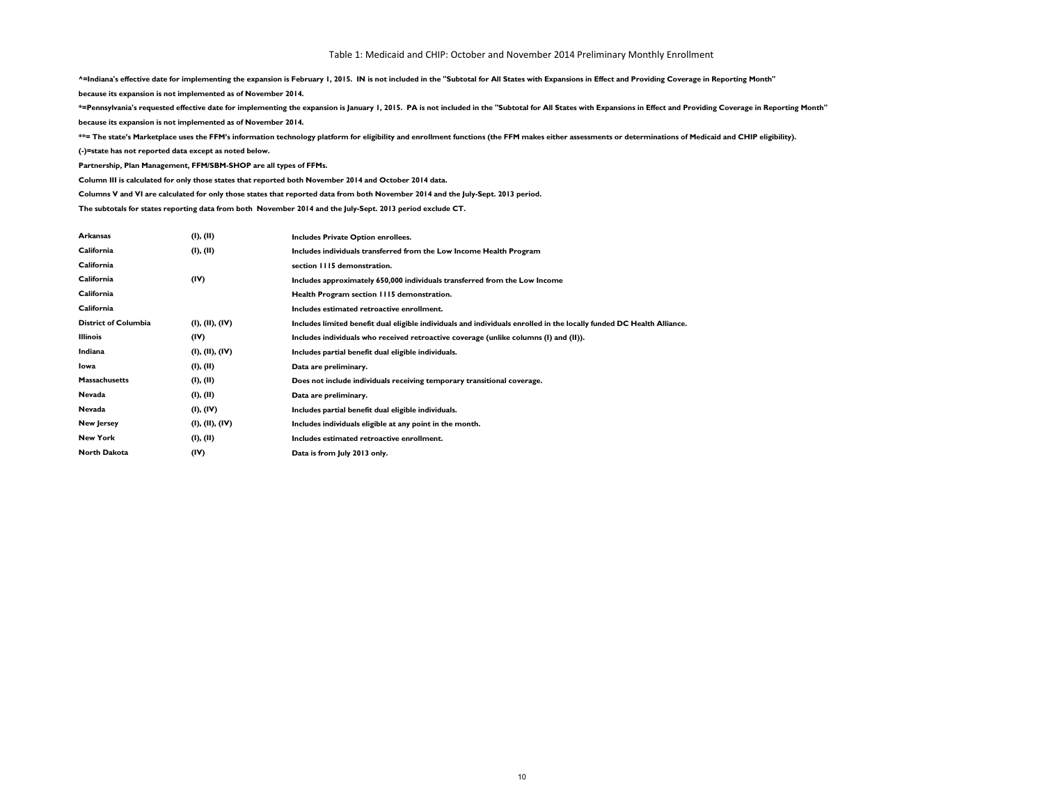**^=Indiana's effective date for implementing the expansion is February 1, 2015. IN is not included in the "Subtotal for All States with Expansions in Effect and Providing Coverage in Reporting Month"**

**because its expansion is not implemented as of November 2014.**

**\*=Pennsylvania's requested effective date for implementing the expansion is January 1, 2015. PA is not included in the "Subtotal for All States with Expansions in Effect and Providing Coverage in Reporting Month"**

**because its expansion is not implemented as of November 2014.**

**\*\*= The state's Marketplace uses the FFM's information technology platform for eligibility and enrollment functions (the FFM makes either assessments or determinations of Medicaid and CHIP eligibility).**

**(-)=state has not reported data except as noted below.**

**Partnership, Plan Management, FFM/SBM-SHOP are all types of FFMs.**

**Column III is calculated for only those states that reported both November 2014 and October 2014 data.**

**Columns V and VI are calculated for only those states that reported data from both November 2014 and the July-Sept. 2013 period.**

**The subtotals for states reporting data from both November 2014 and the July-Sept. 2013 period exclude CT.**

| <b>Arkansas</b>             | (I), (II)       | Includes Private Option enrollees.                                                                                    |
|-----------------------------|-----------------|-----------------------------------------------------------------------------------------------------------------------|
| California                  | (I), (II)       | Includes individuals transferred from the Low Income Health Program                                                   |
| California                  |                 | section 1115 demonstration.                                                                                           |
| California                  | (IV)            | Includes approximately 650,000 individuals transferred from the Low Income                                            |
| California                  |                 | Health Program section 1115 demonstration.                                                                            |
| California                  |                 | Includes estimated retroactive enrollment.                                                                            |
| <b>District of Columbia</b> | (I), (II), (IV) | Includes limited benefit dual eligible individuals and individuals enrolled in the locally funded DC Health Alliance. |
| <b>Illinois</b>             | (IV)            | Includes individuals who received retroactive coverage (unlike columns (I) and (II)).                                 |
| Indiana                     | (I), (II), (IV) | Includes partial benefit dual eligible individuals.                                                                   |
| Iowa                        | (I), (II)       | Data are preliminary.                                                                                                 |
| <b>Massachusetts</b>        | (I), (II)       | Does not include individuals receiving temporary transitional coverage.                                               |
| Nevada                      | (I), (II)       | Data are preliminary.                                                                                                 |
| Nevada                      | (I), (IV)       | Includes partial benefit dual eligible individuals.                                                                   |
| <b>New Jersey</b>           | (I), (II), (IV) | Includes individuals eligible at any point in the month.                                                              |
| <b>New York</b>             | (I), (II)       | Includes estimated retroactive enrollment.                                                                            |
| <b>North Dakota</b>         | (IV)            | Data is from July 2013 only.                                                                                          |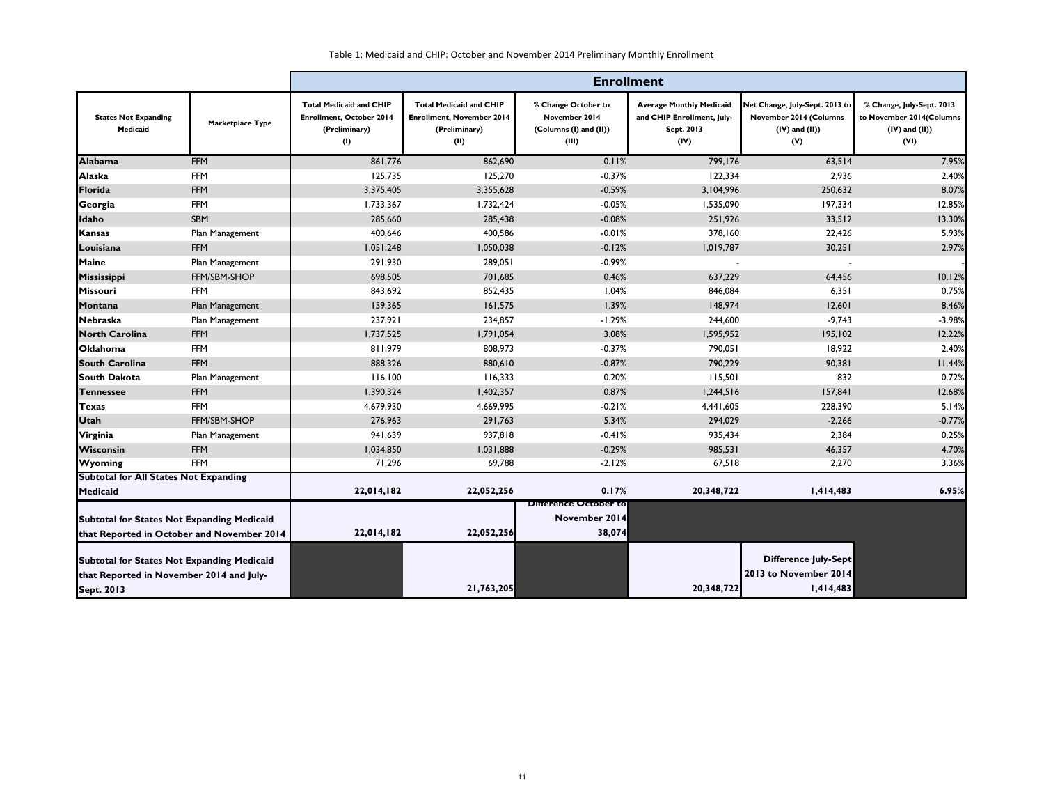|                                                                                                                    |                  | <b>Enrollment</b>                                                                         |                                                                                      |                                                                         |                                                                                     |                                                                                        |                                                                                      |
|--------------------------------------------------------------------------------------------------------------------|------------------|-------------------------------------------------------------------------------------------|--------------------------------------------------------------------------------------|-------------------------------------------------------------------------|-------------------------------------------------------------------------------------|----------------------------------------------------------------------------------------|--------------------------------------------------------------------------------------|
| <b>States Not Expanding</b><br>Medicaid                                                                            | Marketplace Type | <b>Total Medicaid and CHIP</b><br><b>Enrollment, October 2014</b><br>(Preliminary)<br>(1) | <b>Total Medicaid and CHIP</b><br>Enrollment, November 2014<br>(Preliminary)<br>(II) | % Change October to<br>November 2014<br>(Columns (I) and (II))<br>(III) | <b>Average Monthly Medicaid</b><br>and CHIP Enrollment, July-<br>Sept. 2013<br>(IV) | Net Change, July-Sept. 2013 to<br>November 2014 (Columns<br>$(IV)$ and $(II)$ )<br>(V) | % Change, July-Sept. 2013<br>to November 2014(Columns<br>$(IV)$ and $(II)$ )<br>(VI) |
| <b>Alabama</b>                                                                                                     | <b>FFM</b>       | 861,776                                                                                   | 862,690                                                                              | 0.11%                                                                   | 799,176                                                                             | 63,514                                                                                 | 7.95%                                                                                |
| <b>Alaska</b>                                                                                                      | <b>FFM</b>       | 125,735                                                                                   | 125,270                                                                              | $-0.37%$                                                                | 122,334                                                                             | 2,936                                                                                  | 2.40%                                                                                |
| Florida                                                                                                            | <b>FFM</b>       | 3,375,405                                                                                 | 3,355,628                                                                            | $-0.59%$                                                                | 3,104,996                                                                           | 250,632                                                                                | 8.07%                                                                                |
| Georgia                                                                                                            | <b>FFM</b>       | 1,733,367                                                                                 | 1,732,424                                                                            | $-0.05%$                                                                | 1,535,090                                                                           | 197,334                                                                                | 12.85%                                                                               |
| Idaho                                                                                                              | SBM              | 285,660                                                                                   | 285,438                                                                              | $-0.08%$                                                                | 251,926                                                                             | 33,512                                                                                 | 13.30%                                                                               |
| <b>Kansas</b>                                                                                                      | Plan Management  | 400,646                                                                                   | 400,586                                                                              | $-0.01%$                                                                | 378,160                                                                             | 22,426                                                                                 | 5.93%                                                                                |
| Louisiana                                                                                                          | <b>FFM</b>       | 1,051,248                                                                                 | 1,050,038                                                                            | $-0.12%$                                                                | 1,019,787                                                                           | 30,251                                                                                 | 2.97%                                                                                |
| Maine                                                                                                              | Plan Management  | 291,930                                                                                   | 289,051                                                                              | $-0.99%$                                                                |                                                                                     |                                                                                        |                                                                                      |
| <b>Mississippi</b>                                                                                                 | FFM/SBM-SHOP     | 698,505                                                                                   | 701,685                                                                              | 0.46%                                                                   | 637,229                                                                             | 64,456                                                                                 | 10.12%                                                                               |
| Missouri                                                                                                           | <b>FFM</b>       | 843,692                                                                                   | 852,435                                                                              | 1.04%                                                                   | 846,084                                                                             | 6,351                                                                                  | 0.75%                                                                                |
| Montana                                                                                                            | Plan Management  | 159,365                                                                                   | 161,575                                                                              | 1.39%                                                                   | 148,974                                                                             | 12,601                                                                                 | 8.46%                                                                                |
| Nebraska                                                                                                           | Plan Management  | 237,921                                                                                   | 234,857                                                                              | $-1.29%$                                                                | 244,600                                                                             | $-9,743$                                                                               | $-3.98%$                                                                             |
| <b>North Carolina</b>                                                                                              | <b>FFM</b>       | 1,737,525                                                                                 | 1,791,054                                                                            | 3.08%                                                                   | 1,595,952                                                                           | 195,102                                                                                | 12.22%                                                                               |
| <b>Oklahoma</b>                                                                                                    | <b>FFM</b>       | 811,979                                                                                   | 808,973                                                                              | $-0.37%$                                                                | 790,051                                                                             | 18,922                                                                                 | 2.40%                                                                                |
| <b>South Carolina</b>                                                                                              | <b>FFM</b>       | 888,326                                                                                   | 880,610                                                                              | $-0.87%$                                                                | 790,229                                                                             | 90,381                                                                                 | 11.44%                                                                               |
| <b>South Dakota</b>                                                                                                | Plan Management  | 116,100                                                                                   | 116,333                                                                              | 0.20%                                                                   | 115,501                                                                             | 832                                                                                    | 0.72%                                                                                |
| <b>Tennessee</b>                                                                                                   | <b>FFM</b>       | 1,390,324                                                                                 | 1,402,357                                                                            | 0.87%                                                                   | 1,244,516                                                                           | 157,841                                                                                | 12.68%                                                                               |
| <b>Texas</b>                                                                                                       | <b>FFM</b>       | 4,679,930                                                                                 | 4,669,995                                                                            | $-0.21%$                                                                | 4,441,605                                                                           | 228,390                                                                                | 5.14%                                                                                |
| <b>Utah</b>                                                                                                        | FFM/SBM-SHOP     | 276,963                                                                                   | 291,763                                                                              | 5.34%                                                                   | 294,029                                                                             | $-2,266$                                                                               | $-0.77%$                                                                             |
| Virginia                                                                                                           | Plan Management  | 941,639                                                                                   | 937,818                                                                              | $-0.41%$                                                                | 935,434                                                                             | 2,384                                                                                  | 0.25%                                                                                |
| <b>Wisconsin</b>                                                                                                   | <b>FFM</b>       | 1,034,850                                                                                 | 1,031,888                                                                            | $-0.29%$                                                                | 985,531                                                                             | 46,357                                                                                 | 4.70%                                                                                |
| <b>Wyoming</b>                                                                                                     | <b>FFM</b>       | 71,296                                                                                    | 69,788                                                                               | $-2.12%$                                                                | 67,518                                                                              | 2,270                                                                                  | 3.36%                                                                                |
| <b>Subtotal for All States Not Expanding</b>                                                                       |                  |                                                                                           |                                                                                      |                                                                         |                                                                                     |                                                                                        |                                                                                      |
| Medicaid                                                                                                           |                  | 22,014,182                                                                                | 22,052,256                                                                           | 0.17%                                                                   | 20,348,722                                                                          | 1,414,483                                                                              | 6.95%                                                                                |
| <b>Subtotal for States Not Expanding Medicaid</b><br>that Reported in October and November 2014                    |                  | 22,014,182                                                                                | 22,052,256                                                                           | <b>Difference October to</b><br>November 2014<br>38,074                 |                                                                                     |                                                                                        |                                                                                      |
| <b>Subtotal for States Not Expanding Medicaid</b><br>that Reported in November 2014 and July-<br><b>Sept. 2013</b> |                  |                                                                                           | 21,763,205                                                                           |                                                                         | 20,348,722                                                                          | <b>Difference July-Sept</b><br>2013 to November 2014<br>1,414,483                      |                                                                                      |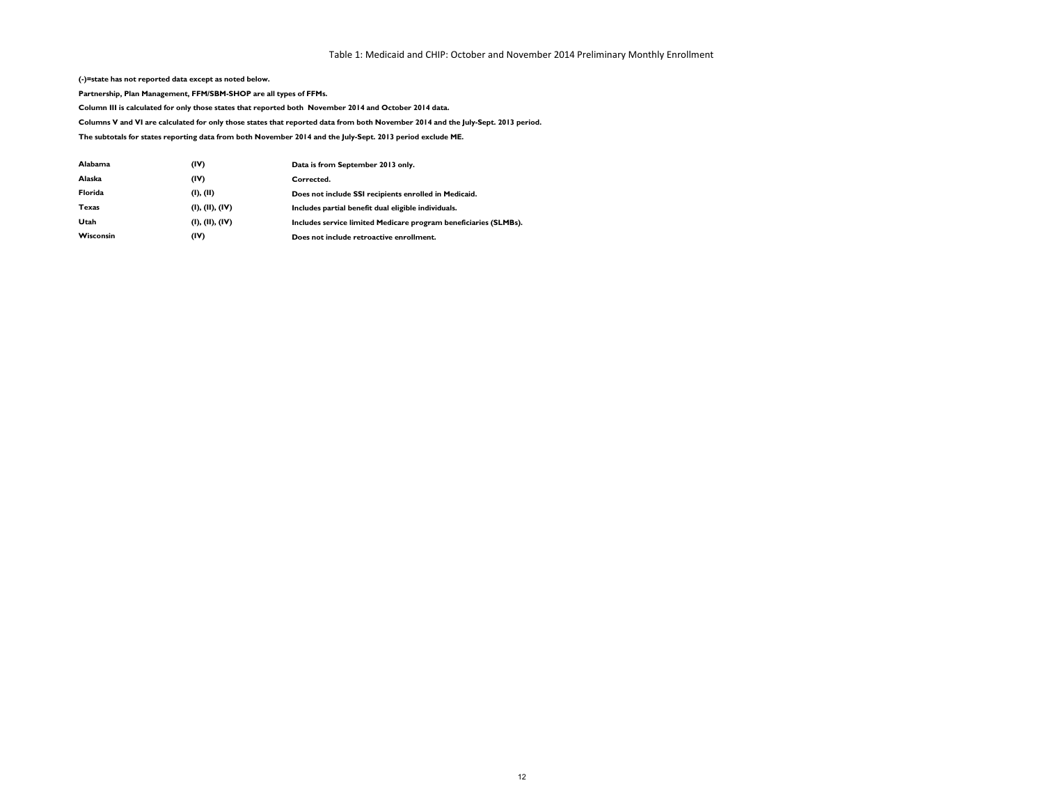**(-)=state has not reported data except as noted below.**

**Partnership, Plan Management, FFM/SBM-SHOP are all types of FFMs.**

**Column III is calculated for only those states that reported both November 2014 and October 2014 data.**

**Columns V and VI are calculated for only those states that reported data from both November 2014 and the July-Sept. 2013 period.**

**The subtotals for states reporting data from both November 2014 and the July-Sept. 2013 period exclude ME.**

| <b>Alabama</b>   | (IV)            | Data is from September 2013 only.                                |
|------------------|-----------------|------------------------------------------------------------------|
| Alaska           | (IV)            | Corrected.                                                       |
| <b>Florida</b>   | (I), (II)       | Does not include SSI recipients enrolled in Medicaid.            |
| Texas            | (I), (II), (IV) | Includes partial benefit dual eligible individuals.              |
| Utah             | (I), (II), (IV) | Includes service limited Medicare program beneficiaries (SLMBs). |
| <b>Wisconsin</b> | (IV)            | Does not include retroactive enrollment.                         |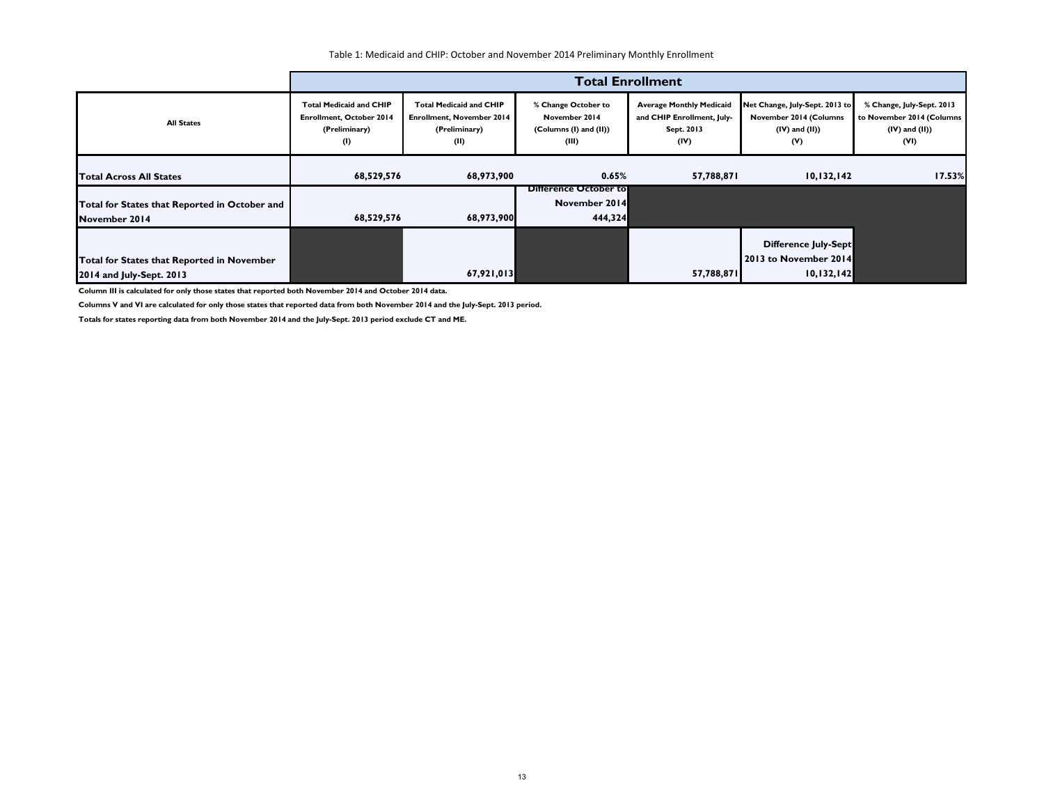|                                                                        |                                                                                           |                                                                                             |                                                                         | <b>Total Enrollment</b>                                                             |                                                                                        |                                                                                       |
|------------------------------------------------------------------------|-------------------------------------------------------------------------------------------|---------------------------------------------------------------------------------------------|-------------------------------------------------------------------------|-------------------------------------------------------------------------------------|----------------------------------------------------------------------------------------|---------------------------------------------------------------------------------------|
| <b>All States</b>                                                      | <b>Total Medicaid and CHIP</b><br><b>Enrollment, October 2014</b><br>(Preliminary)<br>(1) | <b>Total Medicaid and CHIP</b><br><b>Enrollment, November 2014</b><br>(Preliminary)<br>(II) | % Change October to<br>November 2014<br>(Columns (I) and (II))<br>(III) | <b>Average Monthly Medicaid</b><br>and CHIP Enrollment, July-<br>Sept. 2013<br>(IV) | Net Change, July-Sept. 2013 to<br>November 2014 (Columns<br>$(IV)$ and $(II)$ )<br>(V) | % Change, July-Sept. 2013<br>to November 2014 (Columns<br>$(IV)$ and $(II)$ )<br>(VI) |
| <b>Total Across All States</b>                                         | 68,529,576<br>68,973,900                                                                  |                                                                                             | 0.65%<br>57,788,871                                                     |                                                                                     | 10, 132, 142                                                                           | 17.53%                                                                                |
| Total for States that Reported in October and<br>November 2014         | 68,529,576                                                                                | 68,973,900                                                                                  | <b>Difference October to</b><br>November 2014<br>444,324                |                                                                                     |                                                                                        |                                                                                       |
| Total for States that Reported in November<br>2014 and July-Sept. 2013 |                                                                                           | 67,921,013                                                                                  |                                                                         | 57,788,871                                                                          | Difference July-Sept<br>2013 to November 2014<br>10,132,142                            |                                                                                       |

**Column III is calculated for only those states that reported both November 2014 and October 2014 data.**

**Columns V and VI are calculated for only those states that reported data from both November 2014 and the July-Sept. 2013 period.**

**Totals for states reporting data from both November 2014 and the July-Sept. 2013 period exclude CT and ME.**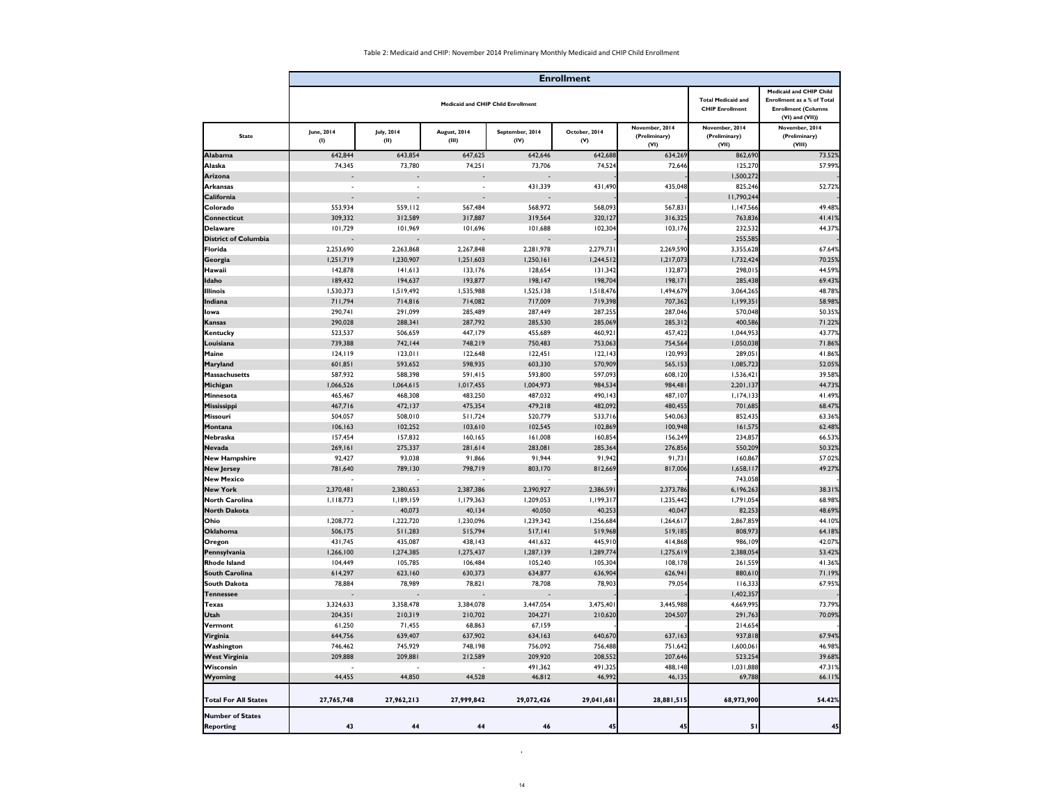Table 2: Medicaid and CHIP: November 2014 Preliminary Monthly Medicaid and CHIP Child Enrollment

'

|                                             |                          |                           |                       |                                           | <b>Enrollment</b>    |                                         |                                                     |                                                                                                                    |
|---------------------------------------------|--------------------------|---------------------------|-----------------------|-------------------------------------------|----------------------|-----------------------------------------|-----------------------------------------------------|--------------------------------------------------------------------------------------------------------------------|
|                                             |                          |                           |                       | <b>Medicaid and CHIP Child Enrollment</b> |                      |                                         | <b>Total Medicaid and</b><br><b>CHIP Enrollment</b> | <b>Medicaid and CHIP Child</b><br>Enrollment as a % of Total<br><b>Enrollment (Columns</b><br>$(VI)$ and $(VII)$ ) |
| <b>State</b>                                | <b>June, 2014</b><br>(1) | <b>July, 2014</b><br>(II) | August, 2014<br>(III) | September, 2014<br>(IV)                   | October, 2014<br>(V) | November, 2014<br>(Preliminary)<br>(VI) | November, 2014<br>(Preliminary)<br>(VII)            | November, 2014<br>(Preliminary)<br>(VIII)                                                                          |
| <b>Alabama</b>                              | 642,844                  | 643,854                   | 647,625               | 642,646                                   | 642,688              | 634,269                                 | 862,690                                             | 73.52%                                                                                                             |
| Alaska                                      | 74,345                   | 73,780                    | 74,251                | 73,706                                    | 74,524               | 72,646                                  | 125,270                                             | 57.99%                                                                                                             |
| Arizona                                     |                          |                           | $\sim$                | $\sim$                                    |                      |                                         | 1,500,272                                           |                                                                                                                    |
| Arkansas                                    |                          |                           | $\sim$                | 431,339                                   | 431,490              | 435,048                                 | 825,246                                             | 52.72%                                                                                                             |
| California                                  |                          |                           |                       | $\sim$ $-$                                |                      |                                         | 11,790,244                                          |                                                                                                                    |
| Colorado                                    | 553,934                  | 559, 112                  | 567,484               | 568,972                                   | 568,093              | 567,831                                 | 1,147,566                                           | 49.48%                                                                                                             |
| Connecticut                                 | 309,332                  | 312,589                   | 317,887               | 319,564                                   | 320,127              | 316,325                                 | 763,836                                             | 41.41%                                                                                                             |
| <b>Delaware</b>                             | 101,729                  | 101,969                   | 101,696               | 101,688                                   | 102,304              | 103,176                                 | 232,532                                             | 44.37%                                                                                                             |
| <b>District of Columbia</b>                 |                          |                           | $\sim$                |                                           |                      |                                         | 255,585                                             |                                                                                                                    |
| Florida                                     | 2,253,690                | 2,263,868                 | 2,267,848             | 2,281,978                                 | 2,279,731            | 2,269,590                               | 3,355,628                                           | 67.64%                                                                                                             |
| Georgia                                     | 1,251,719                | 1,230,907                 | 1,251,603             | 1,250,161                                 | 1,244,512            | 1,217,073                               | 1,732,424                                           | 70.25%                                                                                                             |
| Hawaii                                      | 142,878                  | 141,613                   | 133,176               | 128,654                                   | 131,342              | 132,873                                 | 298,015                                             | 44.59%                                                                                                             |
| Idaho                                       | 189,432                  | 194,637                   | 193,877               | 198,147                                   | 198,704              | 198, 171                                | 285,438                                             | 69.43%                                                                                                             |
| <b>Illinois</b>                             | 1,530,373                | 1,519,492                 | 1,535,988             | 1,525,138                                 | 1,518,476            | 1,494,679                               | 3,064,265                                           | 48.78%                                                                                                             |
| Indiana                                     | 711,794                  | 714,816                   | 714,082               | 717,009                                   | 719,398              | 707,362                                 | 1,199,351                                           | 58.98%                                                                                                             |
| lowa                                        | 290,741                  | 291,099                   | 285,489               | 287,449                                   | 287,255              | 287,046                                 | 570,048                                             | 50.35%                                                                                                             |
| Kansas                                      | 290,028                  | 288,341                   | 287,792               | 285,530                                   | 285,069              | 285,312                                 | 400,586                                             | 71.22%                                                                                                             |
| <b>Kentucky</b>                             | 523,537                  | 506,659                   | 447,179               | 455,689                                   | 460,921              | 457,422                                 | 1,044,953                                           | 43.77%                                                                                                             |
| Louisiana                                   | 739,388                  | 742, 144                  | 748,219               | 750,483                                   | 753,063              | 754,564                                 | 1,050,038                                           | 71.86%                                                                                                             |
| <b>Maine</b>                                | 124,119                  | 123,011                   | 122,648               | 122,451                                   | 122, 143             | 120,993                                 | 289,051                                             | 41.86%                                                                                                             |
| Maryland                                    | 601,851                  | 593,652                   | 598,935               | 603,330                                   | 570,909              | 565,153                                 | 1,085,723                                           | 52.05%                                                                                                             |
| <b>Massachusetts</b>                        | 587,932                  | 588,398                   | 591,415               | 593,800                                   | 597,093              | 608,120                                 | 1,536,421                                           | 39.58%                                                                                                             |
| Michigan                                    | 1,066,526                | 1,064,615                 | 1,017,455             | 1,004,973                                 | 984,534              | 984,481                                 | 2,201,137                                           | 44.73%                                                                                                             |
| Minnesota                                   | 465,467                  | 468,308                   | 483,250               | 487,032                                   | 490,143              | 487,107                                 | 1,174,133                                           | 41.49%                                                                                                             |
| Mississippi                                 | 467,716                  | 472,137                   | 475,354               | 479,218                                   | 482,092              | 480,455                                 | 701,685                                             | 68.47%                                                                                                             |
| <b>Missouri</b>                             | 504,057                  | 508,010                   | 511,724               | 520,779                                   | 533,716              | 540,063                                 | 852,435                                             | 63.36%                                                                                                             |
| Montana                                     | 106, 163                 | 102,252                   | 103,610               | 102,545                                   | 102,869              | 100,948                                 | 161,575                                             | 62.48%                                                                                                             |
| Nebraska                                    | 157,454                  | 157,832                   | 160, 165              | 161,008                                   | 160,854              | 156,249                                 | 234,857                                             | 66.53%                                                                                                             |
| <b>Nevada</b>                               | 269,161                  | 275,337                   | 281,614               | 283,081                                   | 285,364              | 276,856                                 | 550,209                                             | 50.32%                                                                                                             |
| <b>New Hampshire</b>                        | 92,427                   | 93,038                    | 91,866                | 91,944                                    | 91,942               | 91,731                                  | 160,867                                             | 57.02%                                                                                                             |
| <b>New Jersey</b>                           | 781,640                  | 789,130                   | 798,719               | 803,170                                   | 812,669              | 817,006                                 | 1,658,117                                           | 49.27%                                                                                                             |
| <b>New Mexico</b>                           |                          |                           | $\blacksquare$        |                                           |                      |                                         | 743,058                                             |                                                                                                                    |
| <b>New York</b>                             | 2,370,481                | 2,380,653                 | 2,387,386             | 2,390,927                                 | 2,386,591            | 2,373,786                               | 6,196,263                                           | 38.31%                                                                                                             |
| <b>North Carolina</b>                       | 1,118,773                | 1,189,159                 | 1,179,363             | 1,209,053                                 | 1,199,317            | 1,235,442                               | 1,791,054                                           | 68.98%                                                                                                             |
| <b>North Dakota</b>                         |                          | 40,073                    | 40,134                | 40,050                                    | 40,253               | 40,047                                  | 82,253                                              | 48.69%                                                                                                             |
| Ohio                                        | 1,208,772                | 1,222,720                 | 1,230,096             | 1,239,342                                 | 1,256,684            | 1,264,617                               | 2,867,859                                           | 44.10%                                                                                                             |
| <b>Oklahoma</b>                             | 506,175                  | 511,283                   | 515,794               | 517,141                                   | 519,968              | 519,185                                 | 808,973                                             | 64.18%                                                                                                             |
| Oregon                                      | 431,745                  | 435,087                   | 438,143               | 441,632                                   | 445,910              | 414,868                                 | 986,109                                             | 42.07%                                                                                                             |
| Pennsylvania                                | 1,266,100                | 1,274,385                 | 1,275,437             | 1,287,139                                 | 1,289,774            | 1,275,619                               | 2,388,054                                           | 53.42%                                                                                                             |
| <b>Rhode Island</b>                         | 104,449                  | 105,785                   | 106,484               | 105,240                                   | 105,304              | 108,178                                 | 261,559                                             | 41.36%                                                                                                             |
| South Carolina                              | 614,297                  | 623,160                   | 630,373               | 634,877                                   | 636,904              | 626,941                                 | 880,610                                             | 71.19%                                                                                                             |
| <b>South Dakota</b>                         | 78,884                   | 78,989                    | 78,821                | 78,708                                    | 78,903               | 79,054                                  | 116,333                                             | 67.95%                                                                                                             |
| Tennessee                                   | $\sim$                   | $\sim$                    | $\sim$                | $\sim$                                    |                      |                                         | 1,402,357                                           |                                                                                                                    |
| Texas                                       | 3,324,633                | 3,358,478                 | 3,384,078             | 3,447,054                                 | 3,475,401            | 3,445,988                               | 4,669,995                                           | 73.79%                                                                                                             |
| <b>Utah</b>                                 | 204,351                  | 210,319                   | 210,702               | 204,271                                   | 210,620              | 204,507                                 | 291,763                                             | 70.09%                                                                                                             |
| Vermont                                     | 61,250                   | 71,455                    | 68,863                | 67,159                                    |                      |                                         | 214,654                                             |                                                                                                                    |
| Virginia                                    | 644,756                  | 639,407                   | 637,902               | 634,163                                   | 640,670              | 637,163                                 | 937,818                                             | 67.94%                                                                                                             |
| Washington                                  | 746,462                  | 745,929                   | 748,198               | 756,092                                   | 756,488              | 751,642                                 | 1,600,061                                           | 46.98%                                                                                                             |
| <b>West Virginia</b>                        | 209,888                  | 209,881                   | 212,589               | 209,920                                   | 208,552              | 207,646                                 | 523,254                                             | 39.68%                                                                                                             |
| Wisconsin                                   |                          | 44,850                    |                       | 491,362                                   | 491,325              | 488,148                                 | 1,031,888                                           | 47.31%                                                                                                             |
| <b>Wyoming</b>                              | 44,455                   |                           | 44,528                | 46,812                                    | 46,992               | 46,135                                  | 69,788                                              | 66.11%                                                                                                             |
| <b>Total For All States</b>                 | 27,765,748               | 27,962,213                | 27,999,842            | 29,072,426                                | 29,041,681           | 28,881,515                              | 68,973,900                                          | 54.42%                                                                                                             |
| <b>Number of States</b><br><b>Reporting</b> | 43                       | 44                        | 44                    | 46                                        | 45                   | 45                                      | 51                                                  | 45                                                                                                                 |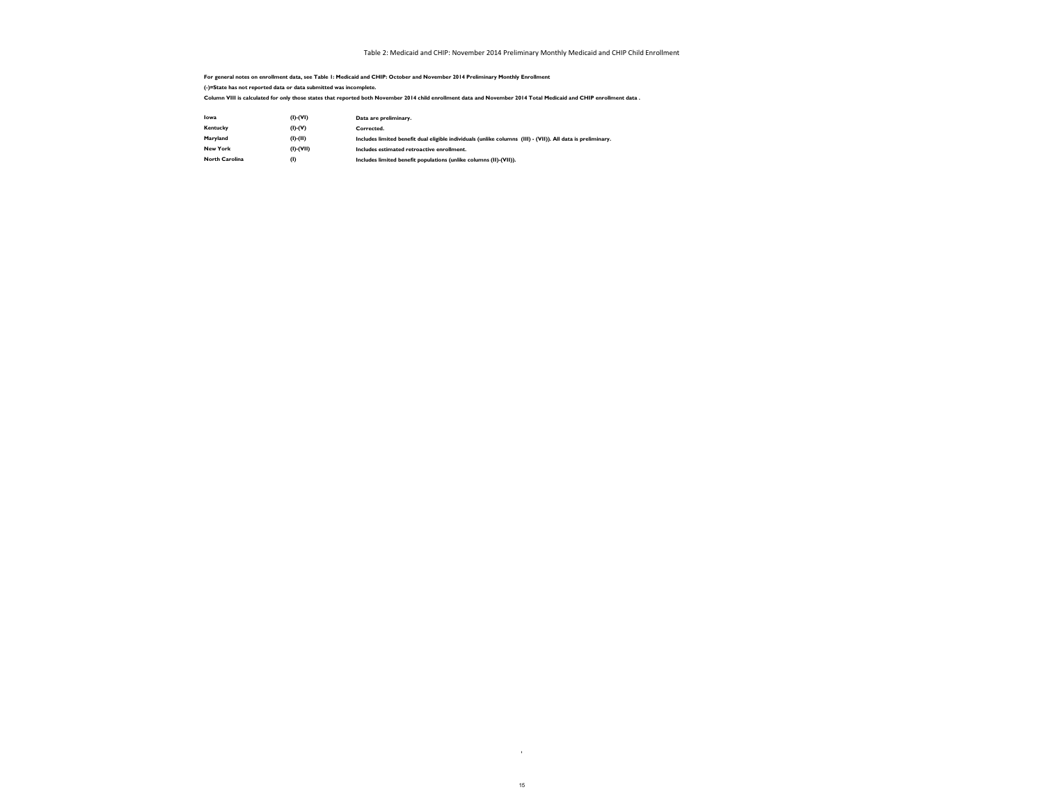'

**For general notes on enrollment data, see Table 1: Medicaid and CHIP: October and November 2014 Preliminary Monthly Enrollment (-)=State has not reported data or data submitted was incomplete.**

| Iowa                  | $(I)$ - $(VI)$  | Data are preliminary.                                                                                       |
|-----------------------|-----------------|-------------------------------------------------------------------------------------------------------------|
| Kentucky              | $(I)$ - $(V)$   | Corrected.                                                                                                  |
| Maryland              | $(I)-(II)$      | Includes limited benefit dual eligible individuals (unlike columns (III) - (VII)). All data is preliminary. |
| <b>New York</b>       | $(I)$ - $(VII)$ | Includes estimated retroactive enrollment.                                                                  |
| <b>North Carolina</b> | (I)             | Includes limited benefit populations (unlike columns (II)-(VII)).                                           |

**Column VIII is calculated for only those states that reported both November 2014 child enrollment data and November 2014 Total Medicaid and CHIP enrollment data .**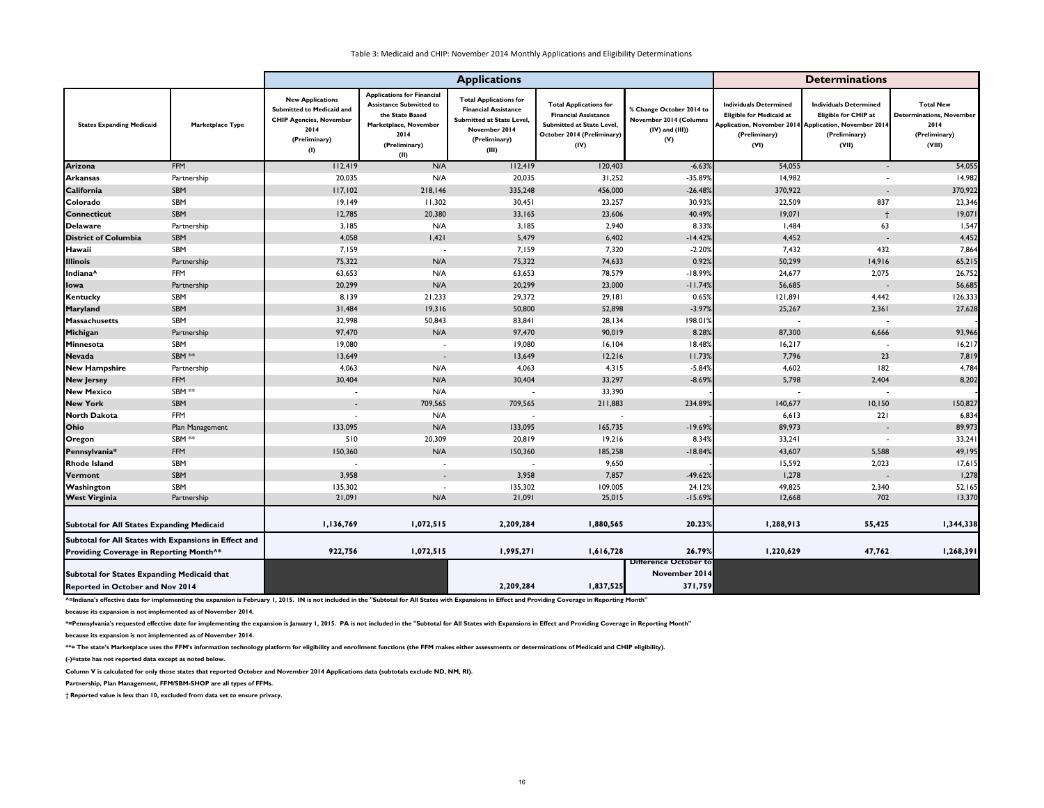|                                                       |                  |                                                                                                                        | <b>Determinations</b>                                                                                                                            |                                                                                                                                            |                                                                                                                                 |                                                                                   |                                                                                                                                                    |                                                                                        |                                                                                 |
|-------------------------------------------------------|------------------|------------------------------------------------------------------------------------------------------------------------|--------------------------------------------------------------------------------------------------------------------------------------------------|--------------------------------------------------------------------------------------------------------------------------------------------|---------------------------------------------------------------------------------------------------------------------------------|-----------------------------------------------------------------------------------|----------------------------------------------------------------------------------------------------------------------------------------------------|----------------------------------------------------------------------------------------|---------------------------------------------------------------------------------|
| <b>States Expanding Medicaid</b>                      | Marketplace Type | <b>New Applications</b><br>Submitted to Medicaid and<br><b>CHIP Agencies, November</b><br>2014<br>(Preliminary)<br>(1) | <b>Applications for Financial</b><br><b>Assistance Submitted to</b><br>the State Based<br>Marketplace, November<br>2014<br>(Preliminary)<br>(II) | <b>Total Applications for</b><br><b>Financial Assistance</b><br><b>Submitted at State Level</b><br>November 2014<br>(Preliminary)<br>(III) | <b>Total Applications for</b><br><b>Financial Assistance</b><br>Submitted at State Level,<br>October 2014 (Preliminary)<br>(IV) | % Change October 2014 to<br>November 2014 (Columns<br>$(IV)$ and $(III)$ )<br>(V) | <b>Individuals Determined</b><br><b>Eligible for Medicaid at</b><br>Application, November 2014 Application, November 2014<br>(Preliminary)<br>(VI) | <b>Individuals Determined</b><br><b>Eligible for CHIP at</b><br>(Preliminary)<br>(VII) | <b>Total New</b><br>Determinations, November<br>2014<br>(Preliminary)<br>(VIII) |
| Arizona                                               | <b>FFM</b>       | 112,419                                                                                                                | N/A                                                                                                                                              | 112,419                                                                                                                                    | 120,403                                                                                                                         | $-6.63%$                                                                          | 54,055                                                                                                                                             | $\overline{\phantom{a}}$                                                               | 54,055                                                                          |
| <b>Arkansas</b>                                       | Partnership      | 20,035                                                                                                                 | N/A                                                                                                                                              | 20,035                                                                                                                                     | 31,252                                                                                                                          | -35.89%                                                                           | 14,982                                                                                                                                             | $\blacksquare$                                                                         | 14,982                                                                          |
| California                                            | SBM              | 117,102                                                                                                                | 218,146                                                                                                                                          | 335,248                                                                                                                                    | 456,000                                                                                                                         | $-26.48%$                                                                         | 370,922                                                                                                                                            | $\sim$                                                                                 | 370,922                                                                         |
| Colorado                                              | SBM              | 19,149                                                                                                                 | 11,302                                                                                                                                           | 30,451                                                                                                                                     | 23,257                                                                                                                          | 30.93%                                                                            | 22,509                                                                                                                                             | 837                                                                                    | 23,346                                                                          |
| <b>Connecticut</b>                                    | SBM              | 12,785                                                                                                                 | 20,380                                                                                                                                           | 33,165                                                                                                                                     | 23,606                                                                                                                          | 40.49%                                                                            | 19,071                                                                                                                                             |                                                                                        | 19,071                                                                          |
| Delaware                                              | Partnership      | 3,185                                                                                                                  | N/A                                                                                                                                              | 3,185                                                                                                                                      | 2,940                                                                                                                           | 8.33%                                                                             | 1,484                                                                                                                                              | 63                                                                                     | 1,547                                                                           |
| <b>District of Columbia</b>                           | SBM              | 4,058                                                                                                                  | 1,421                                                                                                                                            | 5,479                                                                                                                                      | 6,402                                                                                                                           | $-14.42%$                                                                         | 4,452                                                                                                                                              | $\sim$                                                                                 | 4,452                                                                           |
| Hawaii                                                | SBM              | 7,159                                                                                                                  | $\blacksquare$                                                                                                                                   | 7,159                                                                                                                                      | 7,320                                                                                                                           | $-2.20%$                                                                          | 7,432                                                                                                                                              | 432                                                                                    | 7,864                                                                           |
| <b>Illinois</b>                                       | Partnership      | 75,322                                                                                                                 | N/A                                                                                                                                              | 75,322                                                                                                                                     | 74,633                                                                                                                          | 0.92%                                                                             | 50,299                                                                                                                                             | 14,916                                                                                 | 65,215                                                                          |
| Indiana <sup>^</sup>                                  | <b>FFM</b>       | 63,653                                                                                                                 | N/A                                                                                                                                              | 63,653                                                                                                                                     | 78,579                                                                                                                          | $-18.99%$                                                                         | 24,677                                                                                                                                             | 2,075                                                                                  | 26,752                                                                          |
| lowa                                                  | Partnership      | 20,299                                                                                                                 | N/A                                                                                                                                              | 20,299                                                                                                                                     | 23,000                                                                                                                          | $-11.74%$                                                                         | 56,685                                                                                                                                             | $\overline{\phantom{a}}$                                                               | 56,685                                                                          |
| Kentucky                                              | SBM              | 8,139                                                                                                                  | 21,233                                                                                                                                           | 29,372                                                                                                                                     | 29,181                                                                                                                          | 0.65%                                                                             | 121,891                                                                                                                                            | 4,442                                                                                  | 126,333                                                                         |
| <b>Maryland</b>                                       | SBM              | 31,484                                                                                                                 | 19,316                                                                                                                                           | 50,800                                                                                                                                     | 52,898                                                                                                                          | $-3.97%$                                                                          | 25,267                                                                                                                                             | 2,361                                                                                  | 27,628                                                                          |
| Massachusetts                                         | SBM              | 32,998                                                                                                                 | 50,843                                                                                                                                           | 83,841                                                                                                                                     | 28,134                                                                                                                          | 198.01%                                                                           |                                                                                                                                                    |                                                                                        |                                                                                 |
| Michigan                                              | Partnership      | 97,470                                                                                                                 | N/A                                                                                                                                              | 97,470                                                                                                                                     | 90,019                                                                                                                          | 8.28%                                                                             | 87,300                                                                                                                                             | 6,666                                                                                  | 93,966                                                                          |
| Minnesota                                             | SBM              | 19,080                                                                                                                 | $\sim$                                                                                                                                           | 19,080                                                                                                                                     | 16, 104                                                                                                                         | 18.48%                                                                            | 16,217                                                                                                                                             |                                                                                        | 16,217                                                                          |
| <b>Nevada</b>                                         | SBM **           | 13,649                                                                                                                 | $\overline{\phantom{a}}$                                                                                                                         | 13,649                                                                                                                                     | 12,216                                                                                                                          | 11.73%                                                                            | 7,796                                                                                                                                              | 23                                                                                     | 7,819                                                                           |
| <b>New Hampshire</b>                                  | Partnership      | 4,063                                                                                                                  | N/A                                                                                                                                              | 4,063                                                                                                                                      | 4,315                                                                                                                           | $-5.84%$                                                                          | 4,602                                                                                                                                              | 182                                                                                    | 4,784                                                                           |
| <b>New Jersey</b>                                     | <b>FFM</b>       | 30,404                                                                                                                 | N/A                                                                                                                                              | 30,404                                                                                                                                     | 33,297                                                                                                                          | $-8.69%$                                                                          | 5,798                                                                                                                                              | 2,404                                                                                  | 8,202                                                                           |
| <b>New Mexico</b>                                     | SBM **           | $\blacksquare$                                                                                                         | N/A                                                                                                                                              |                                                                                                                                            | 33,390                                                                                                                          |                                                                                   |                                                                                                                                                    |                                                                                        |                                                                                 |
| <b>New York</b>                                       | SBM              | $\sim$                                                                                                                 | 709,565                                                                                                                                          | 709,565                                                                                                                                    | 211,883                                                                                                                         | 234.89%                                                                           | 140,677                                                                                                                                            | 10,150                                                                                 | 150,827                                                                         |
| North Dakota                                          | <b>FFM</b>       |                                                                                                                        | N/A                                                                                                                                              |                                                                                                                                            |                                                                                                                                 |                                                                                   | 6, 613                                                                                                                                             | 221                                                                                    | 6,834                                                                           |
| Ohio                                                  | Plan Management  | 133,095                                                                                                                | N/A                                                                                                                                              | 133,095                                                                                                                                    | 165,735                                                                                                                         | $-19.69%$                                                                         | 89,973                                                                                                                                             | $\sim$                                                                                 | 89,973                                                                          |
| Oregon                                                | SBM **           | 510                                                                                                                    | 20,309                                                                                                                                           | 20,819                                                                                                                                     | 19,216                                                                                                                          | 8.34%                                                                             | 33,241                                                                                                                                             |                                                                                        | 33,241                                                                          |
| Pennsylvania*                                         | <b>FFM</b>       | 150,360                                                                                                                | N/A                                                                                                                                              | 150,360                                                                                                                                    | 185,258                                                                                                                         | $-18.84%$                                                                         | 43,607                                                                                                                                             | 5,588                                                                                  | 49,195                                                                          |
| <b>Rhode Island</b>                                   | SBM              |                                                                                                                        |                                                                                                                                                  |                                                                                                                                            | 9,650                                                                                                                           |                                                                                   | 15,592                                                                                                                                             | 2,023                                                                                  | 17,615                                                                          |
| Vermont                                               | SBM              | 3,958                                                                                                                  | $\sim$                                                                                                                                           | 3,958                                                                                                                                      | 7,857                                                                                                                           | $-49.62%$                                                                         | 1,278                                                                                                                                              | $\overline{\phantom{a}}$                                                               | 1,278                                                                           |
| Washington                                            | SBM              | 135,302                                                                                                                | $\blacksquare$                                                                                                                                   | 135,302                                                                                                                                    | 109,005                                                                                                                         | 24.12%                                                                            | 49,825                                                                                                                                             | 2,340                                                                                  | 52,165                                                                          |
| <b>West Virginia</b>                                  | Partnership      | 21,091                                                                                                                 | N/A                                                                                                                                              | 21,091                                                                                                                                     | 25,015                                                                                                                          | $-15.69%$                                                                         | 12,668                                                                                                                                             | 702                                                                                    | 13,370                                                                          |
| <b>Subtotal for All States Expanding Medicaid</b>     |                  | 1,136,769                                                                                                              | 1,072,515                                                                                                                                        | 2,209,284                                                                                                                                  | 1,880,565                                                                                                                       | 20.23%                                                                            | 1,288,913                                                                                                                                          | 55,425                                                                                 | 1,344,338                                                                       |
| Subtotal for All States with Expansions in Effect and |                  |                                                                                                                        |                                                                                                                                                  |                                                                                                                                            |                                                                                                                                 |                                                                                   |                                                                                                                                                    |                                                                                        |                                                                                 |
| Providing Coverage in Reporting Month <sup>^*</sup>   |                  | 922,756                                                                                                                | 1,072,515                                                                                                                                        | 1,995,271                                                                                                                                  | 1,616,728                                                                                                                       | 26.79%                                                                            | 1,220,629                                                                                                                                          | 47,762                                                                                 | 1,268,391                                                                       |
| <b>Subtotal for States Expanding Medicaid that</b>    |                  |                                                                                                                        |                                                                                                                                                  |                                                                                                                                            |                                                                                                                                 | <b>Difference October to</b><br>November 2014                                     |                                                                                                                                                    |                                                                                        |                                                                                 |
| Reported in October and Nov 2014                      |                  |                                                                                                                        |                                                                                                                                                  | 2,209,284                                                                                                                                  | 1,837,525                                                                                                                       | 371,759                                                                           |                                                                                                                                                    |                                                                                        |                                                                                 |

**\*\*= The state's Marketplace uses the FFM's information technology platform for eligibility and enrollment functions (the FFM makes either assessments or determinations of Medicaid and CHIP eligibility).**

**(-)=state has not reported data except as noted below.**

**Column V is calculated for only those states that reported October and November 2014 Applications data (subtotals exclude ND, NM, RI).**

**Partnership, Plan Management, FFM/SBM-SHOP are all types of FFMs.**

**because its expansion is not implemented as of November 2014. \*=Pennsylvania's requested effective date for implementing the expansion is January 1, 2015. PA is not included in the "Subtotal for All States with Expansions in Effect and Providing Coverage in Reporting Month"**

**† Reported value is less than 10, excluded from data set to ensure privacy.**

**^=Indiana's effective date for implementing the expansion is February 1, 2015. IN is not included in the "Subtotal for All States with Expansions in Effect and Providing Coverage in Reporting Month"**

**because its expansion is not implemented as of November 2014.**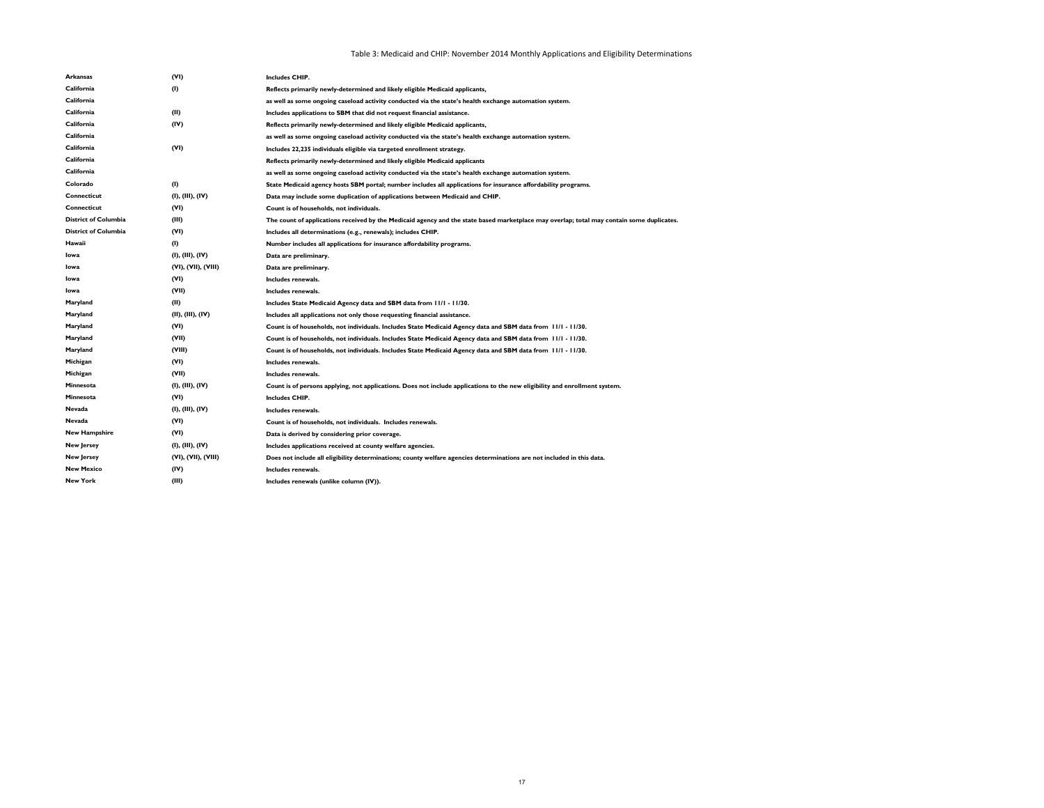| <b>Arkansas</b>             | (VI)                       | <b>Includes CHIP.</b>                                                                                                                     |
|-----------------------------|----------------------------|-------------------------------------------------------------------------------------------------------------------------------------------|
| California                  | $\left( \mathsf{I}\right)$ | Reflects primarily newly-determined and likely eligible Medicaid applicants,                                                              |
| California                  |                            | as well as some ongoing caseload activity conducted via the state's health exchange automation system.                                    |
| California                  | (II)                       | Includes applications to SBM that did not request financial assistance.                                                                   |
| California                  | (IV)                       | Reflects primarily newly-determined and likely eligible Medicaid applicants,                                                              |
| California                  |                            | as well as some ongoing caseload activity conducted via the state's health exchange automation system.                                    |
| California                  | (VI)                       | Includes 22,235 individuals eligible via targeted enrollment strategy.                                                                    |
| California                  |                            | Reflects primarily newly-determined and likely eligible Medicaid applicants                                                               |
| California                  |                            | as well as some ongoing caseload activity conducted via the state's health exchange automation system.                                    |
| Colorado                    | (1)                        | State Medicaid agency hosts SBM portal; number includes all applications for insurance affordability programs.                            |
| <b>Connecticut</b>          | (I), (III), (IV)           | Data may include some duplication of applications between Medicaid and CHIP.                                                              |
| <b>Connecticut</b>          | (VI)                       | Count is of households, not individuals.                                                                                                  |
| <b>District of Columbia</b> | (III)                      | The count of applications received by the Medicaid agency and the state based marketplace may overlap; total may contain some duplicates. |
| <b>District of Columbia</b> | (VI)                       | Includes all determinations (e.g., renewals); includes CHIP.                                                                              |
| Hawaii                      | (1)                        | Number includes all applications for insurance affordability programs.                                                                    |
| Iowa                        | (I), (III), (IV)           | Data are preliminary.                                                                                                                     |
| Iowa                        | (VI), (VII), (VIII)        | Data are preliminary.                                                                                                                     |
| Iowa                        | (VI)                       | Includes renewals.                                                                                                                        |
| Iowa                        | (VII)                      | Includes renewals.                                                                                                                        |
| Maryland                    | (II)                       | Includes State Medicaid Agency data and SBM data from 11/1 - 11/30.                                                                       |
| Maryland                    | (II), (III), (IV)          | Includes all applications not only those requesting financial assistance.                                                                 |
| Maryland                    | (VI)                       | Count is of households, not individuals. Includes State Medicaid Agency data and SBM data from 11/1 - 11/30.                              |
| Maryland                    | (VII)                      | Count is of households, not individuals. Includes State Medicaid Agency data and SBM data from 11/1 - 11/30.                              |
| Maryland                    | (VIII)                     | Count is of households, not individuals. Includes State Medicaid Agency data and SBM data from 11/1 - 11/30.                              |
| Michigan                    | (VI)                       | Includes renewals.                                                                                                                        |
| Michigan                    | (VII)                      | Includes renewals.                                                                                                                        |
| Minnesota                   | (I), (III), (IV)           | Count is of persons applying, not applications. Does not include applications to the new eligibility and enrollment system.               |
| Minnesota                   | (VI)                       | <b>Includes CHIP.</b>                                                                                                                     |
| Nevada                      | (I), (III), (IV)           | Includes renewals.                                                                                                                        |
| Nevada                      | (VI)                       | Count is of households, not individuals. Includes renewals.                                                                               |
| <b>New Hampshire</b>        | (VI)                       | Data is derived by considering prior coverage.                                                                                            |
| <b>New Jersey</b>           | (I), (III), (IV)           | Includes applications received at county welfare agencies.                                                                                |
| <b>New Jersey</b>           | (VI), (VII), (VIII)        | Does not include all eligibility determinations; county welfare agencies determinations are not included in this data.                    |
| <b>New Mexico</b>           | (IV)                       | Includes renewals.                                                                                                                        |
| <b>New York</b>             | (III)                      | Includes renewals (unlike column (IV)).                                                                                                   |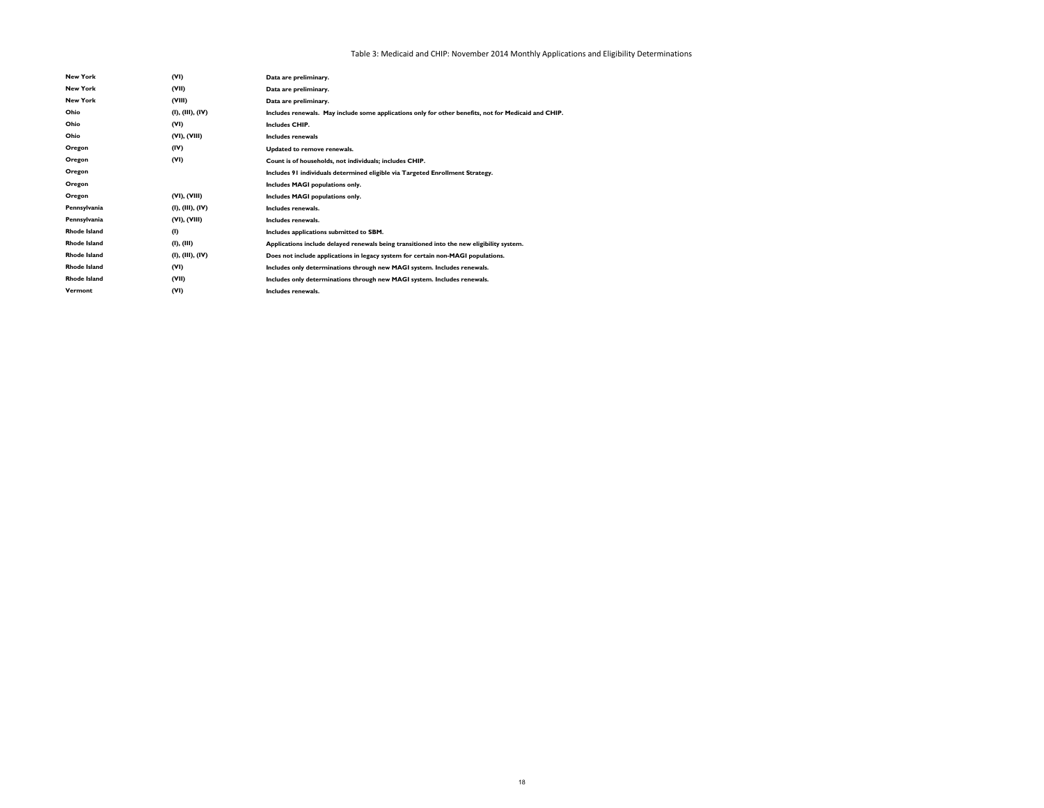| <b>New York</b>     | (VI)             | Data are preliminary.                                                                                |
|---------------------|------------------|------------------------------------------------------------------------------------------------------|
| <b>New York</b>     | (VII)            | Data are preliminary.                                                                                |
| <b>New York</b>     | (VIII)           | Data are preliminary.                                                                                |
| Ohio                | (I), (III), (IV) | Includes renewals. May include some applications only for other benefits, not for Medicaid and CHIP. |
| Ohio                | (VI)             | <b>Includes CHIP.</b>                                                                                |
| Ohio                | (VI), (VIII)     | Includes renewals                                                                                    |
| Oregon              | (IV)             | Updated to remove renewals.                                                                          |
| Oregon              | (VI)             | Count is of households, not individuals; includes CHIP.                                              |
| Oregon              |                  | Includes 91 individuals determined eligible via Targeted Enrollment Strategy.                        |
| Oregon              |                  | Includes MAGI populations only.                                                                      |
| Oregon              | (VI), (VIII)     | Includes MAGI populations only.                                                                      |
| Pennsylvania        | (I), (III), (IV) | Includes renewals.                                                                                   |
| Pennsylvania        | (VI), (VIII)     | Includes renewals.                                                                                   |
| <b>Rhode Island</b> | (1)              | Includes applications submitted to SBM.                                                              |
| <b>Rhode Island</b> | (I), (III)       | Applications include delayed renewals being transitioned into the new eligibility system.            |
| <b>Rhode Island</b> | (I), (III), (IV) | Does not include applications in legacy system for certain non-MAGI populations.                     |
| <b>Rhode Island</b> | (VI)             | Includes only determinations through new MAGI system. Includes renewals.                             |
| <b>Rhode Island</b> | (VII)            | Includes only determinations through new MAGI system. Includes renewals.                             |
| Vermont             | (VI)             | Includes renewals.                                                                                   |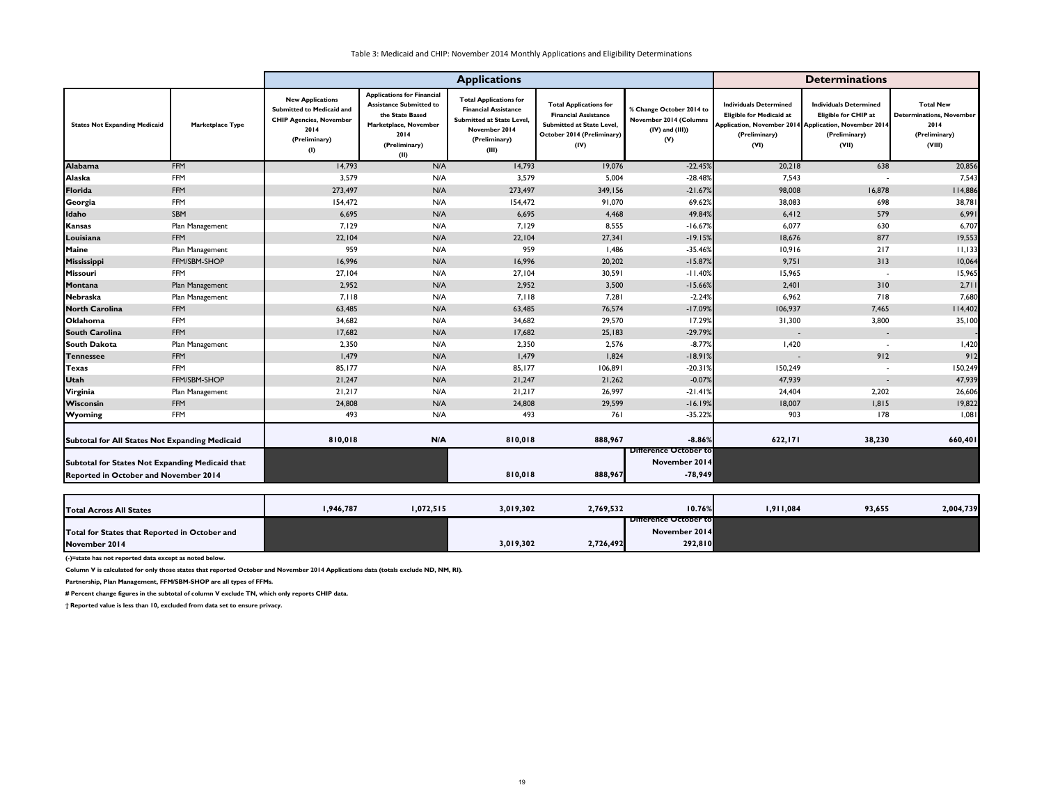|                                                                                          |                  |                                                                                                                        |                                                                                                                                                  | <b>Applications</b>                                                                                                                         |                                                                                                                                 |                                                                                   |                                                                                                                                                    | <b>Determinations</b>                                                           |                                                                                        |
|------------------------------------------------------------------------------------------|------------------|------------------------------------------------------------------------------------------------------------------------|--------------------------------------------------------------------------------------------------------------------------------------------------|---------------------------------------------------------------------------------------------------------------------------------------------|---------------------------------------------------------------------------------------------------------------------------------|-----------------------------------------------------------------------------------|----------------------------------------------------------------------------------------------------------------------------------------------------|---------------------------------------------------------------------------------|----------------------------------------------------------------------------------------|
| <b>States Not Expanding Medicaid</b>                                                     | Marketplace Type | <b>New Applications</b><br>Submitted to Medicaid and<br><b>CHIP Agencies, November</b><br>2014<br>(Preliminary)<br>(1) | <b>Applications for Financial</b><br><b>Assistance Submitted to</b><br>the State Based<br>Marketplace, November<br>2014<br>(Preliminary)<br>(II) | <b>Total Applications for</b><br><b>Financial Assistance</b><br><b>Submitted at State Level,</b><br>November 2014<br>(Preliminary)<br>(III) | <b>Total Applications for</b><br><b>Financial Assistance</b><br>Submitted at State Level,<br>October 2014 (Preliminary)<br>(IV) | % Change October 2014 to<br>November 2014 (Columns<br>$(IV)$ and $(III)$ )<br>(V) | <b>Individuals Determined</b><br><b>Eligible for Medicaid at</b><br>Application, November 2014 Application, November 2014<br>(Preliminary)<br>(VI) | <b>Individuals Determined</b><br>Eligible for CHIP at<br>(Preliminary)<br>(VII) | <b>Total New</b><br><b>Determinations, November</b><br>2014<br>(Preliminary)<br>(VIII) |
| <b>Alabama</b>                                                                           | <b>FFM</b>       | 14,793                                                                                                                 | N/A                                                                                                                                              | 14,793                                                                                                                                      | 19,076                                                                                                                          | $-22.45%$                                                                         | 20,218                                                                                                                                             | 638                                                                             | 20,856                                                                                 |
| Alaska                                                                                   | <b>FFM</b>       | 3,579                                                                                                                  | N/A                                                                                                                                              | 3,579                                                                                                                                       | 5,004                                                                                                                           | $-28.48%$                                                                         | 7,543                                                                                                                                              |                                                                                 | 7,543                                                                                  |
| Florida                                                                                  | <b>FFM</b>       | 273,497                                                                                                                | N/A                                                                                                                                              | 273,497                                                                                                                                     | 349,156                                                                                                                         | $-21.67%$                                                                         | 98,008                                                                                                                                             | 16,878                                                                          | 114,886                                                                                |
| Georgia                                                                                  | <b>FFM</b>       | 154,472                                                                                                                | N/A                                                                                                                                              | 154,472                                                                                                                                     | 91,070                                                                                                                          | 69.62%                                                                            | 38,083                                                                                                                                             | 698                                                                             | 38,781                                                                                 |
| Idaho                                                                                    | SBM              | 6,695                                                                                                                  | N/A                                                                                                                                              | 6,695                                                                                                                                       | 4,468                                                                                                                           | 49.84%                                                                            | 6,412                                                                                                                                              | 579                                                                             | 6,991                                                                                  |
| <b>Kansas</b>                                                                            | Plan Management  | 7,129                                                                                                                  | N/A                                                                                                                                              | 7,129                                                                                                                                       | 8,555                                                                                                                           | $-16.67%$                                                                         | 6,077                                                                                                                                              | 630                                                                             | 6,707                                                                                  |
| Louisiana                                                                                | <b>FFM</b>       | 22,104                                                                                                                 | N/A                                                                                                                                              | 22,104                                                                                                                                      | 27,341                                                                                                                          | $-19.15%$                                                                         | 18,676                                                                                                                                             | 877                                                                             | 19,553                                                                                 |
| Maine                                                                                    | Plan Management  | 959                                                                                                                    | N/A                                                                                                                                              | 959                                                                                                                                         | 1,486                                                                                                                           | $-35.46%$                                                                         | 10,916                                                                                                                                             | 217                                                                             | 11,133                                                                                 |
| Mississippi                                                                              | FFM/SBM-SHOP     | 16,996                                                                                                                 | N/A                                                                                                                                              | 16,996                                                                                                                                      | 20,202                                                                                                                          | $-15.87%$                                                                         | 9,751                                                                                                                                              | 313                                                                             | 10,064                                                                                 |
| Missouri                                                                                 | <b>FFM</b>       | 27,104                                                                                                                 | N/A                                                                                                                                              | 27,104                                                                                                                                      | 30,591                                                                                                                          | $-11.40%$                                                                         | 15,965                                                                                                                                             | $\overline{\phantom{a}}$                                                        | 15,965                                                                                 |
| Montana                                                                                  | Plan Management  | 2,952                                                                                                                  | N/A                                                                                                                                              | 2,952                                                                                                                                       | 3,500                                                                                                                           | $-15.66%$                                                                         | 2,401                                                                                                                                              | 310                                                                             | 2,711                                                                                  |
| Nebraska                                                                                 | Plan Management  | 7,118                                                                                                                  | N/A                                                                                                                                              | 7,118                                                                                                                                       | 7,281                                                                                                                           | $-2.24%$                                                                          | 6,962                                                                                                                                              | 718                                                                             | 7,680                                                                                  |
| <b>North Carolina</b>                                                                    | <b>FFM</b>       | 63,485                                                                                                                 | N/A                                                                                                                                              | 63,485                                                                                                                                      | 76,574                                                                                                                          | $-17.09%$                                                                         | 106,937                                                                                                                                            | 7,465                                                                           | 114,402                                                                                |
| <b>Oklahoma</b>                                                                          | <b>FFM</b>       | 34,682                                                                                                                 | N/A                                                                                                                                              | 34,682                                                                                                                                      | 29,570                                                                                                                          | 17.29%                                                                            | 31,300                                                                                                                                             | 3,800                                                                           | 35,100                                                                                 |
| <b>South Carolina</b>                                                                    | <b>FFM</b>       | 17,682                                                                                                                 | N/A                                                                                                                                              | 17,682                                                                                                                                      | 25,183                                                                                                                          | $-29.79%$                                                                         | $\sim$                                                                                                                                             | $\sim$                                                                          |                                                                                        |
| <b>South Dakota</b>                                                                      | Plan Management  | 2,350                                                                                                                  | N/A                                                                                                                                              | 2,350                                                                                                                                       | 2,576                                                                                                                           | $-8.77%$                                                                          | 1,420                                                                                                                                              |                                                                                 | 1,420                                                                                  |
| <b>Tennessee</b>                                                                         | <b>FFM</b>       | 1,479                                                                                                                  | N/A                                                                                                                                              | 1,479                                                                                                                                       | 1,824                                                                                                                           | $-18.91%$                                                                         | $\overline{\phantom{a}}$                                                                                                                           | 912                                                                             | 912                                                                                    |
| <b>Texas</b>                                                                             | <b>FFM</b>       | 85,177                                                                                                                 | N/A                                                                                                                                              | 85,177                                                                                                                                      | 106,891                                                                                                                         | $-20.31%$                                                                         | 150,249                                                                                                                                            |                                                                                 | 150,249                                                                                |
| <b>Utah</b>                                                                              | FFM/SBM-SHOP     | 21,247                                                                                                                 | N/A                                                                                                                                              | 21,247                                                                                                                                      | 21,262                                                                                                                          | $-0.07%$                                                                          | 47,939                                                                                                                                             | $\overline{\phantom{a}}$                                                        | 47,939                                                                                 |
| Virginia                                                                                 | Plan Management  | 21,217                                                                                                                 | N/A                                                                                                                                              | 21,217                                                                                                                                      | 26,997                                                                                                                          | $-21.41%$                                                                         | 24,404                                                                                                                                             | 2,202                                                                           | 26,606                                                                                 |
| <b>Wisconsin</b>                                                                         | <b>FFM</b>       | 24,808                                                                                                                 | N/A                                                                                                                                              | 24,808                                                                                                                                      | 29,599                                                                                                                          | $-16.19%$                                                                         | 18,007                                                                                                                                             | 1,815                                                                           | 19,822                                                                                 |
| <b>Wyoming</b>                                                                           | <b>FFM</b>       | 493                                                                                                                    | N/A                                                                                                                                              | 493                                                                                                                                         | 761                                                                                                                             | $-35.22%$                                                                         | 903                                                                                                                                                | 178                                                                             | 1,081                                                                                  |
| Subtotal for All States Not Expanding Medicaid                                           |                  | 810,018                                                                                                                | N/A                                                                                                                                              | 810,018                                                                                                                                     | 888,967                                                                                                                         | $-8.86%$<br><b>Difference October to</b>                                          | 622,171                                                                                                                                            | 38,230                                                                          | 660,401                                                                                |
| Subtotal for States Not Expanding Medicaid that<br>Reported in October and November 2014 |                  |                                                                                                                        |                                                                                                                                                  | 810,018                                                                                                                                     | 888,967                                                                                                                         | November 2014<br>$-78,949$                                                        |                                                                                                                                                    |                                                                                 |                                                                                        |

| <b>Total Across All States</b>                | ,946,787 | 1,072,515 | 3,019,302 | 2,769,532 | 10.76%                | 1,911,084 | 93,655 | 2,004,739 |
|-----------------------------------------------|----------|-----------|-----------|-----------|-----------------------|-----------|--------|-----------|
|                                               |          |           |           |           | Difference October to |           |        |           |
| Total for States that Reported in October and |          |           |           |           | November 2014         |           |        |           |
| November 2014                                 |          |           | 3,019,302 | 2,726,492 | 292,810               |           |        |           |

**(-)=state has not reported data except as noted below.**

**Column V is calculated for only those states that reported October and November 2014 Applications data (totals exclude ND, NM, RI).**

**Partnership, Plan Management, FFM/SBM-SHOP are all types of FFMs.**

**# Percent change figures in the subtotal of column V exclude TN, which only reports CHIP data.**

**† Reported value is less than 10, excluded from data set to ensure privacy.**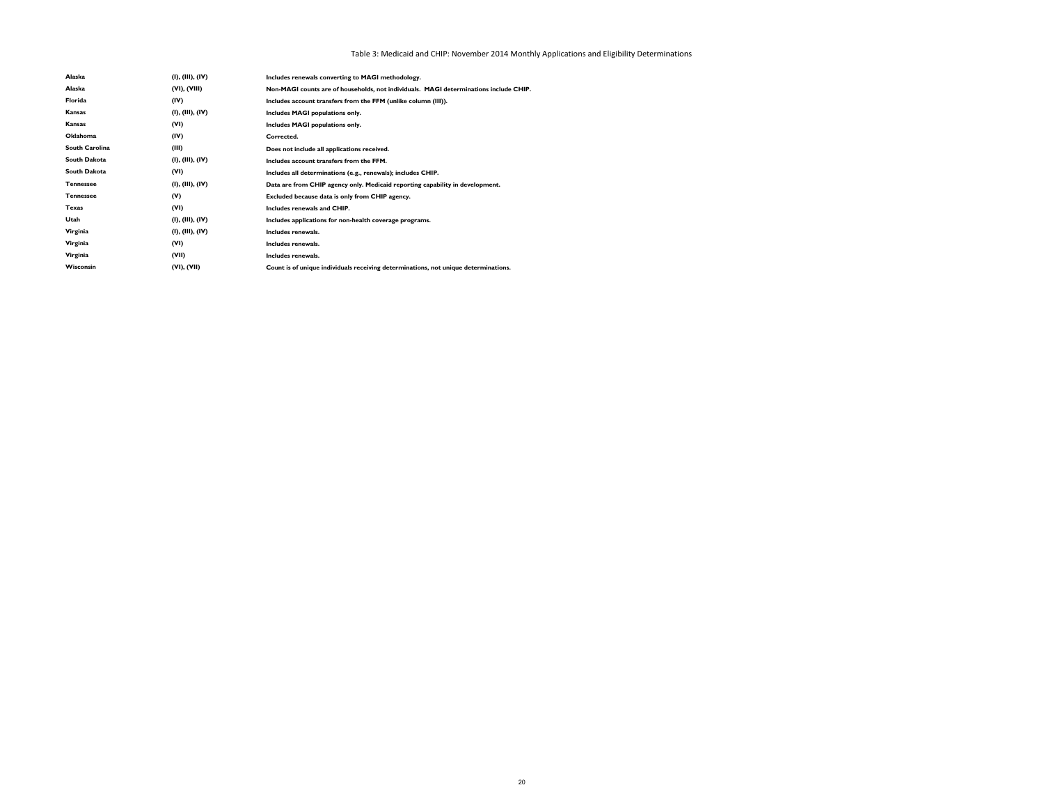| Alaska                | (I), (III), (IV) | Includes renewals converting to MAGI methodology.                                     |
|-----------------------|------------------|---------------------------------------------------------------------------------------|
| Alaska                | (VI), (VIII)     | Non-MAGI counts are of households, not individuals. MAGI determinations include CHIP. |
| Florida               | (IV)             | Includes account transfers from the FFM (unlike column (III)).                        |
| Kansas                | (I), (III), (IV) | Includes MAGI populations only.                                                       |
| Kansas                | (VI)             | Includes MAGI populations only.                                                       |
| <b>Oklahoma</b>       | (IV)             | Corrected.                                                                            |
| <b>South Carolina</b> | (III)            | Does not include all applications received.                                           |
| South Dakota          | (I), (III), (IV) | Includes account transfers from the FFM.                                              |
| <b>South Dakota</b>   | (VI)             | Includes all determinations (e.g., renewals); includes CHIP.                          |
| <b>Tennessee</b>      | (I), (III), (IV) | Data are from CHIP agency only. Medicaid reporting capability in development.         |
| <b>Tennessee</b>      | (V)              | Excluded because data is only from CHIP agency.                                       |
| Texas                 | (VI)             | Includes renewals and CHIP.                                                           |
| Utah                  | (I), (III), (IV) | Includes applications for non-health coverage programs.                               |
| Virginia              | (I), (III), (IV) | Includes renewals.                                                                    |
| Virginia              | (VI)             | Includes renewals.                                                                    |
| Virginia              | (VII)            | Includes renewals.                                                                    |
| Wisconsin             | (VI), (VII)      | Count is of unique individuals receiving determinations, not unique determinations.   |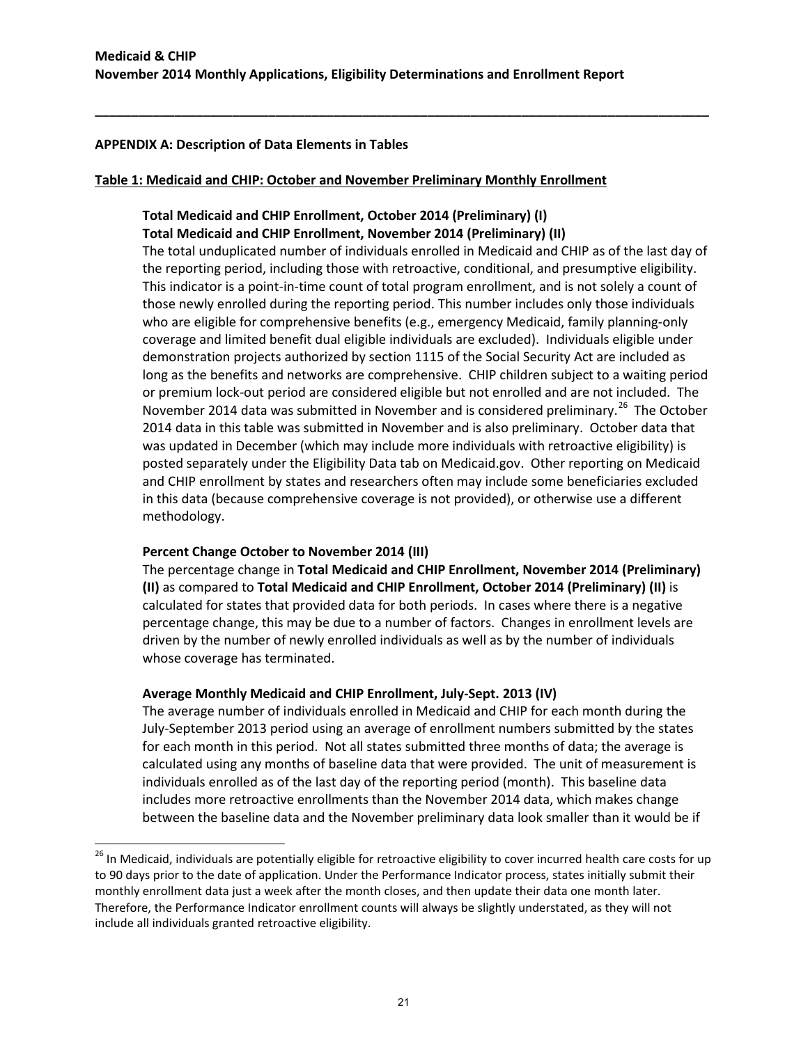**\_\_\_\_\_\_\_\_\_\_\_\_\_\_\_\_\_\_\_\_\_\_\_\_\_\_\_\_\_\_\_\_\_\_\_\_\_\_\_\_\_\_\_\_\_\_\_\_\_\_\_\_\_\_\_\_\_\_\_\_\_\_\_\_\_\_\_\_\_\_\_\_\_\_\_\_\_\_\_\_\_\_\_\_\_**

### **APPENDIX A: Description of Data Elements in Tables**

#### **Table 1: Medicaid and CHIP: October and November Preliminary Monthly Enrollment**

# **Total Medicaid and CHIP Enrollment, October 2014 (Preliminary) (I) Total Medicaid and CHIP Enrollment, November 2014 (Preliminary) (II)**

The total unduplicated number of individuals enrolled in Medicaid and CHIP as of the last day of the reporting period, including those with retroactive, conditional, and presumptive eligibility. This indicator is a point-in-time count of total program enrollment, and is not solely a count of those newly enrolled during the reporting period. This number includes only those individuals who are eligible for comprehensive benefits (e.g., emergency Medicaid, family planning-only coverage and limited benefit dual eligible individuals are excluded). Individuals eligible under demonstration projects authorized by section 1115 of the Social Security Act are included as long as the benefits and networks are comprehensive. CHIP children subject to a waiting period or premium lock-out period are considered eligible but not enrolled and are not included. The November 2014 data was submitted in November and is considered preliminary.<sup>26</sup> The October 2014 data in this table was submitted in November and is also preliminary. October data that was updated in December (which may include more individuals with retroactive eligibility) is posted separately under the Eligibility Data tab on Medicaid.gov. Other reporting on Medicaid and CHIP enrollment by states and researchers often may include some beneficiaries excluded in this data (because comprehensive coverage is not provided), or otherwise use a different methodology.

### **Percent Change October to November 2014 (III)**

l

The percentage change in **Total Medicaid and CHIP Enrollment, November 2014 (Preliminary) (II)** as compared to **Total Medicaid and CHIP Enrollment, October 2014 (Preliminary) (II)** is calculated for states that provided data for both periods. In cases where there is a negative percentage change, this may be due to a number of factors. Changes in enrollment levels are driven by the number of newly enrolled individuals as well as by the number of individuals whose coverage has terminated.

### **Average Monthly Medicaid and CHIP Enrollment, July-Sept. 2013 (IV)**

The average number of individuals enrolled in Medicaid and CHIP for each month during the July-September 2013 period using an average of enrollment numbers submitted by the states for each month in this period. Not all states submitted three months of data; the average is calculated using any months of baseline data that were provided. The unit of measurement is individuals enrolled as of the last day of the reporting period (month). This baseline data includes more retroactive enrollments than the November 2014 data, which makes change between the baseline data and the November preliminary data look smaller than it would be if

<span id="page-20-0"></span><sup>&</sup>lt;sup>26</sup> In Medicaid, individuals are potentially eligible for retroactive eligibility to cover incurred health care costs for up to 90 days prior to the date of application. Under the Performance Indicator process, states initially submit their monthly enrollment data just a week after the month closes, and then update their data one month later. Therefore, the Performance Indicator enrollment counts will always be slightly understated, as they will not include all individuals granted retroactive eligibility.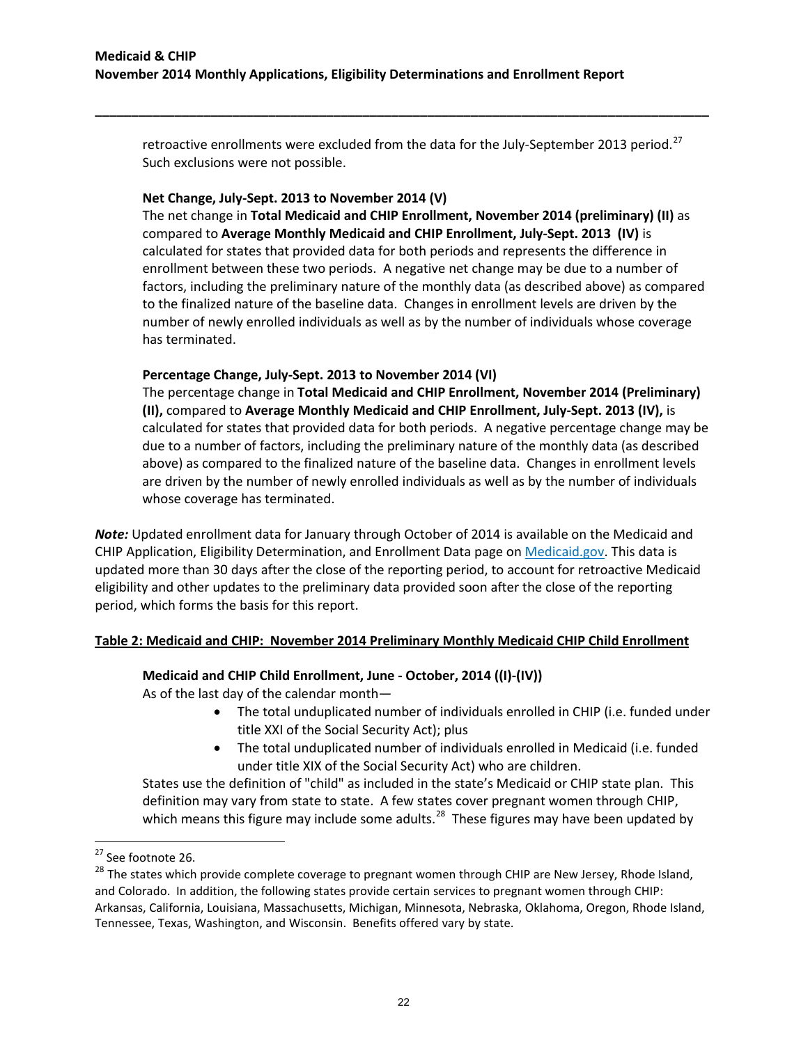retroactive enrollments were excluded from the data for the July-September 2013 period.<sup>[27](#page-21-0)</sup> Such exclusions were not possible.

**\_\_\_\_\_\_\_\_\_\_\_\_\_\_\_\_\_\_\_\_\_\_\_\_\_\_\_\_\_\_\_\_\_\_\_\_\_\_\_\_\_\_\_\_\_\_\_\_\_\_\_\_\_\_\_\_\_\_\_\_\_\_\_\_\_\_\_\_\_\_\_\_\_\_\_\_\_\_\_\_\_\_\_\_\_**

### **Net Change, July-Sept. 2013 to November 2014 (V)**

The net change in **Total Medicaid and CHIP Enrollment, November 2014 (preliminary) (II)** as compared to **Average Monthly Medicaid and CHIP Enrollment, July-Sept. 2013 (IV)** is calculated for states that provided data for both periods and represents the difference in enrollment between these two periods. A negative net change may be due to a number of factors, including the preliminary nature of the monthly data (as described above) as compared to the finalized nature of the baseline data. Changes in enrollment levels are driven by the number of newly enrolled individuals as well as by the number of individuals whose coverage has terminated.

### **Percentage Change, July-Sept. 2013 to November 2014 (VI)**

The percentage change in **Total Medicaid and CHIP Enrollment, November 2014 (Preliminary) (II),** compared to **Average Monthly Medicaid and CHIP Enrollment, July-Sept. 2013 (IV),** is calculated for states that provided data for both periods. A negative percentage change may be due to a number of factors, including the preliminary nature of the monthly data (as described above) as compared to the finalized nature of the baseline data. Changes in enrollment levels are driven by the number of newly enrolled individuals as well as by the number of individuals whose coverage has terminated.

*Note:* Updated enrollment data for January through October of 2014 is available on the Medicaid and CHIP Application, Eligibility Determination, and Enrollment Data page on [Medicaid.gov.](http://www.medicaid.gov/medicaid-chip-program-information/program-information/medicaid-and-chip-enrollment-data/medicaid-and-chip-application-eligibility-determination-and-enrollment-data.html) This data is updated more than 30 days after the close of the reporting period, to account for retroactive Medicaid eligibility and other updates to the preliminary data provided soon after the close of the reporting period, which forms the basis for this report.

### **Table 2: Medicaid and CHIP: November 2014 Preliminary Monthly Medicaid CHIP Child Enrollment**

### **Medicaid and CHIP Child Enrollment, June - October, 2014 ((I)-(IV))**

As of the last day of the calendar month—

- The total unduplicated number of individuals enrolled in CHIP (i.e. funded under title XXI of the Social Security Act); plus
- The total unduplicated number of individuals enrolled in Medicaid (i.e. funded under title XIX of the Social Security Act) who are children.

States use the definition of "child" as included in the state's Medicaid or CHIP state plan. This definition may vary from state to state. A few states cover pregnant women through CHIP, which means this figure may include some adults.<sup>[28](#page-21-1)</sup> These figures may have been updated by

 $\overline{\phantom{a}}$ 

<span id="page-21-1"></span><span id="page-21-0"></span><sup>&</sup>lt;sup>27</sup> See footnote 26.<br><sup>28</sup> The states which provide complete coverage to pregnant women through CHIP are New Jersey, Rhode Island, and Colorado. In addition, the following states provide certain services to pregnant women through CHIP: Arkansas, California, Louisiana, Massachusetts, Michigan, Minnesota, Nebraska, Oklahoma, Oregon, Rhode Island, Tennessee, Texas, Washington, and Wisconsin. Benefits offered vary by state.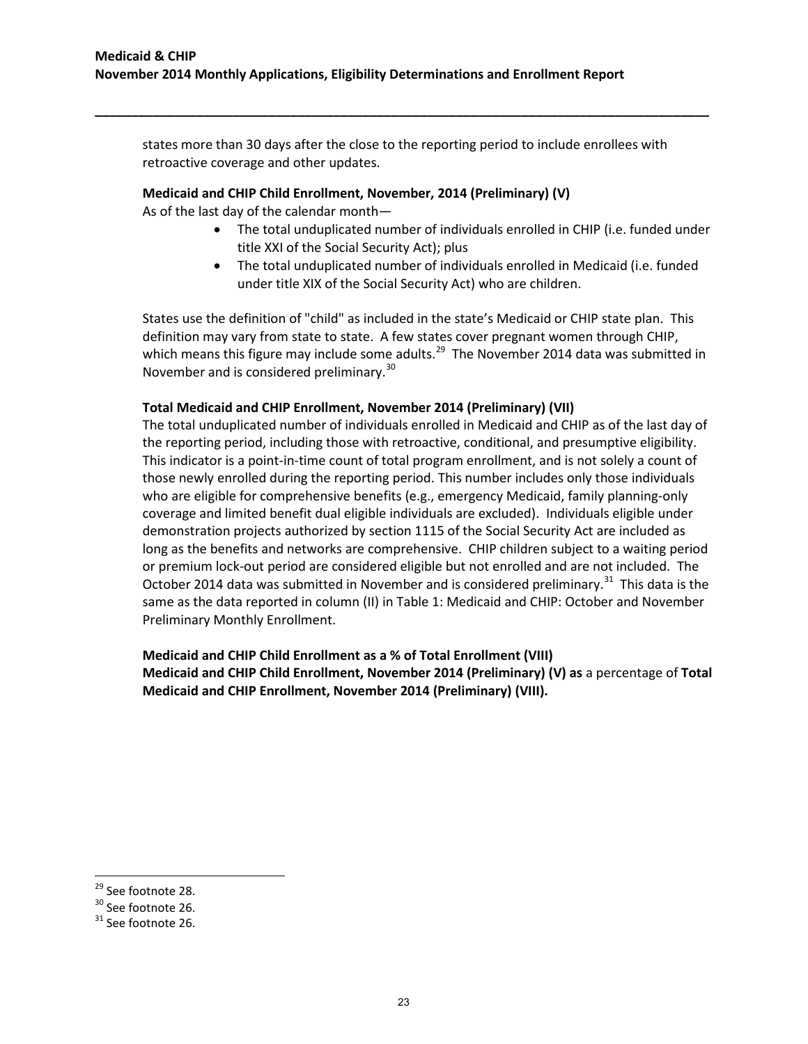states more than 30 days after the close to the reporting period to include enrollees with retroactive coverage and other updates.

**\_\_\_\_\_\_\_\_\_\_\_\_\_\_\_\_\_\_\_\_\_\_\_\_\_\_\_\_\_\_\_\_\_\_\_\_\_\_\_\_\_\_\_\_\_\_\_\_\_\_\_\_\_\_\_\_\_\_\_\_\_\_\_\_\_\_\_\_\_\_\_\_\_\_\_\_\_\_\_\_\_\_\_\_\_**

#### **Medicaid and CHIP Child Enrollment, November, 2014 (Preliminary) (V)**

As of the last day of the calendar month—

- The total unduplicated number of individuals enrolled in CHIP (i.e. funded under title XXI of the Social Security Act); plus
- The total unduplicated number of individuals enrolled in Medicaid (i.e. funded under title XIX of the Social Security Act) who are children.

States use the definition of "child" as included in the state's Medicaid or CHIP state plan. This definition may vary from state to state. A few states cover pregnant women through CHIP, which means this figure may include some adults.<sup>[29](#page-22-0)</sup> The November 2014 data was submitted in November and is considered preliminary.<sup>30</sup>

### **Total Medicaid and CHIP Enrollment, November 2014 (Preliminary) (VII)**

The total unduplicated number of individuals enrolled in Medicaid and CHIP as of the last day of the reporting period, including those with retroactive, conditional, and presumptive eligibility. This indicator is a point-in-time count of total program enrollment, and is not solely a count of those newly enrolled during the reporting period. This number includes only those individuals who are eligible for comprehensive benefits (e.g., emergency Medicaid, family planning-only coverage and limited benefit dual eligible individuals are excluded). Individuals eligible under demonstration projects authorized by section 1115 of the Social Security Act are included as long as the benefits and networks are comprehensive. CHIP children subject to a waiting period or premium lock-out period are considered eligible but not enrolled and are not included. The October 2014 data was submitted in November and is considered preliminary.<sup>[31](#page-22-2)</sup> This data is the same as the data reported in column (II) in Table 1: Medicaid and CHIP: October and November Preliminary Monthly Enrollment.

**Medicaid and CHIP Child Enrollment as a % of Total Enrollment (VIII) Medicaid and CHIP Child Enrollment, November 2014 (Preliminary) (V) as** a percentage of **Total Medicaid and CHIP Enrollment, November 2014 (Preliminary) (VIII).** 

<span id="page-22-0"></span><sup>&</sup>lt;sup>29</sup> See footnote 28.

<span id="page-22-1"></span> $30$  See footnote 26.<br> $31$  See footnote 26.

<span id="page-22-2"></span>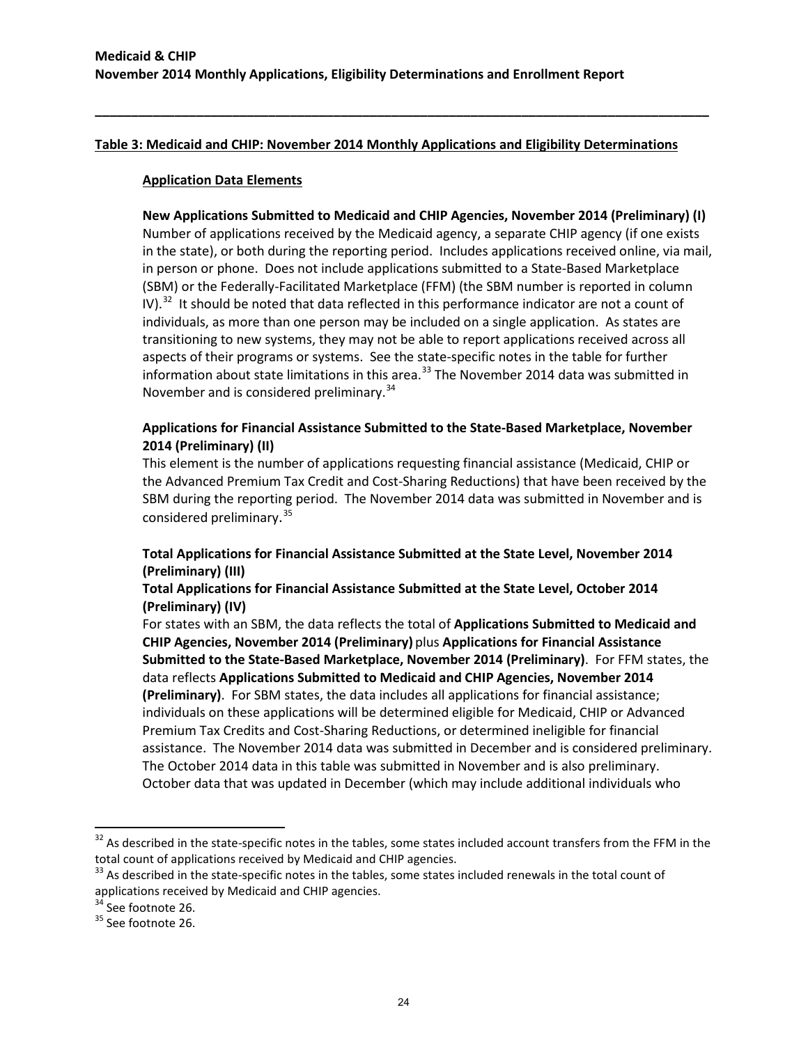**\_\_\_\_\_\_\_\_\_\_\_\_\_\_\_\_\_\_\_\_\_\_\_\_\_\_\_\_\_\_\_\_\_\_\_\_\_\_\_\_\_\_\_\_\_\_\_\_\_\_\_\_\_\_\_\_\_\_\_\_\_\_\_\_\_\_\_\_\_\_\_\_\_\_\_\_\_\_\_\_\_\_\_\_\_**

#### **Application Data Elements**

**New Applications Submitted to Medicaid and CHIP Agencies, November 2014 (Preliminary) (I)** Number of applications received by the Medicaid agency, a separate CHIP agency (if one exists in the state), or both during the reporting period. Includes applications received online, via mail, in person or phone. Does not include applications submitted to a State-Based Marketplace (SBM) or the Federally-Facilitated Marketplace (FFM) (the SBM number is reported in column IV).<sup>32</sup> It should be noted that data reflected in this performance indicator are not a count of individuals, as more than one person may be included on a single application. As states are transitioning to new systems, they may not be able to report applications received across all aspects of their programs or systems. See the state-specific notes in the table for further information about state limitations in this area. $^{33}$  $^{33}$  $^{33}$  The November 2014 data was submitted in November and is considered preliminary.<sup>34</sup>

# **Applications for Financial Assistance Submitted to the State-Based Marketplace, November 2014 (Preliminary) (II)**

This element is the number of applications requesting financial assistance (Medicaid, CHIP or the Advanced Premium Tax Credit and Cost-Sharing Reductions) that have been received by the SBM during the reporting period. The November 2014 data was submitted in November and is considered preliminary. [35](#page-23-3)

# **Total Applications for Financial Assistance Submitted at the State Level, November 2014 (Preliminary) (III)**

# **Total Applications for Financial Assistance Submitted at the State Level, October 2014 (Preliminary) (IV)**

For states with an SBM, the data reflects the total of **Applications Submitted to Medicaid and CHIP Agencies, November 2014 (Preliminary)** plus **Applications for Financial Assistance Submitted to the State-Based Marketplace, November 2014 (Preliminary)**. For FFM states, the data reflects **Applications Submitted to Medicaid and CHIP Agencies, November 2014 (Preliminary)**. For SBM states, the data includes all applications for financial assistance; individuals on these applications will be determined eligible for Medicaid, CHIP or Advanced Premium Tax Credits and Cost-Sharing Reductions, or determined ineligible for financial assistance. The November 2014 data was submitted in December and is considered preliminary. The October 2014 data in this table was submitted in November and is also preliminary. October data that was updated in December (which may include additional individuals who

 $\overline{\phantom{a}}$ 

<span id="page-23-0"></span> $32$  As described in the state-specific notes in the tables, some states included account transfers from the FFM in the total count of applications received by Medicaid and CHIP agencies.

<span id="page-23-1"></span> $33$  As described in the state-specific notes in the tables, some states included renewals in the total count of applications received by Medicaid and CHIP agencies.

<span id="page-23-2"></span> $34$  See footnote 26.<br> $35$  See footnote 26.

<span id="page-23-3"></span>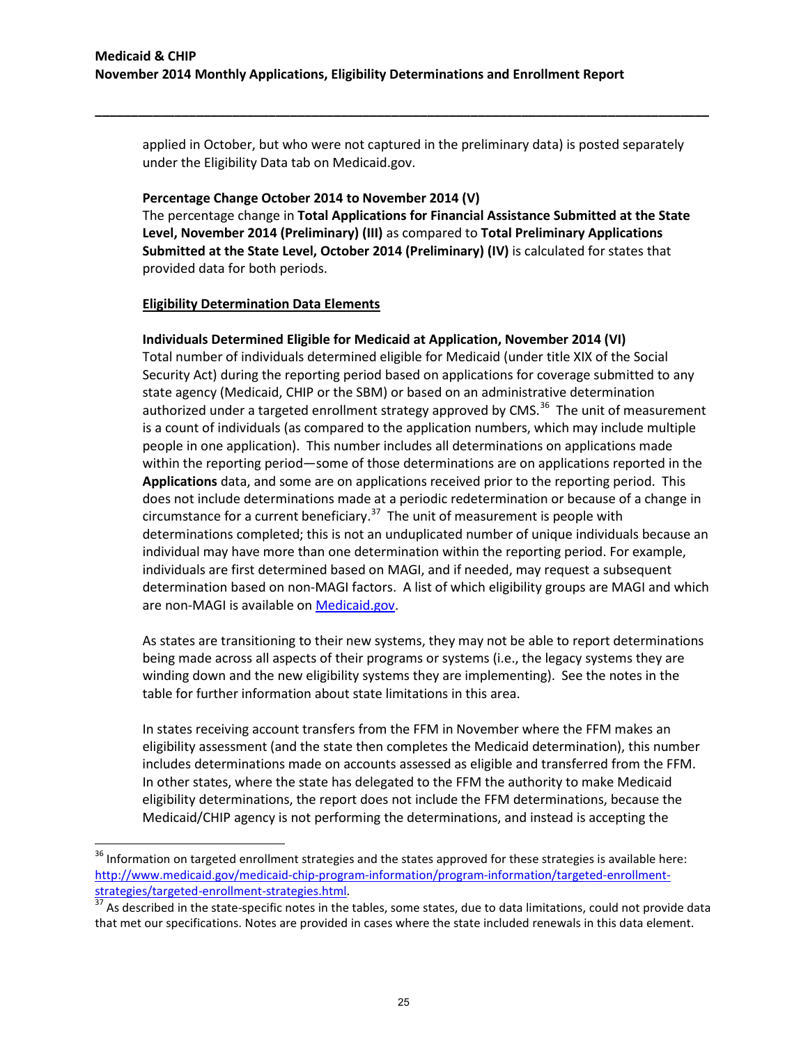applied in October, but who were not captured in the preliminary data) is posted separately under the Eligibility Data tab on Medicaid.gov.

**\_\_\_\_\_\_\_\_\_\_\_\_\_\_\_\_\_\_\_\_\_\_\_\_\_\_\_\_\_\_\_\_\_\_\_\_\_\_\_\_\_\_\_\_\_\_\_\_\_\_\_\_\_\_\_\_\_\_\_\_\_\_\_\_\_\_\_\_\_\_\_\_\_\_\_\_\_\_\_\_\_\_\_\_\_**

#### **Percentage Change October 2014 to November 2014 (V)**

The percentage change in **Total Applications for Financial Assistance Submitted at the State Level, November 2014 (Preliminary) (III)** as compared to **Total Preliminary Applications Submitted at the State Level, October 2014 (Preliminary) (IV)** is calculated for states that provided data for both periods.

#### **Eligibility Determination Data Elements**

l

#### **Individuals Determined Eligible for Medicaid at Application, November 2014 (VI)**

Total number of individuals determined eligible for Medicaid (under title XIX of the Social Security Act) during the reporting period based on applications for coverage submitted to any state agency (Medicaid, CHIP or the SBM) or based on an administrative determination authorized under a targeted enrollment strategy approved by CMS.<sup>36</sup> The unit of measurement is a count of individuals (as compared to the application numbers, which may include multiple people in one application). This number includes all determinations on applications made within the reporting period—some of those determinations are on applications reported in the **Applications** data, and some are on applications received prior to the reporting period. This does not include determinations made at a periodic redetermination or because of a change in circumstance for a current beneficiary.<sup>[37](#page-24-1)</sup> The unit of measurement is people with determinations completed; this is not an unduplicated number of unique individuals because an individual may have more than one determination within the reporting period. For example, individuals are first determined based on MAGI, and if needed, may request a subsequent determination based on non-MAGI factors. A list of which eligibility groups are MAGI and which are non-MAGI is available on [Medicaid.gov.](http://medicaid.gov/AffordableCareAct/Medicaid-Moving-Forward-2014/Downloads/Medicaid-and-CHIP-Eligibility-Groups-in-2014.pdf)

As states are transitioning to their new systems, they may not be able to report determinations being made across all aspects of their programs or systems (i.e., the legacy systems they are winding down and the new eligibility systems they are implementing). See the notes in the table for further information about state limitations in this area.

In states receiving account transfers from the FFM in November where the FFM makes an eligibility assessment (and the state then completes the Medicaid determination), this number includes determinations made on accounts assessed as eligible and transferred from the FFM. In other states, where the state has delegated to the FFM the authority to make Medicaid eligibility determinations, the report does not include the FFM determinations, because the Medicaid/CHIP agency is not performing the determinations, and instead is accepting the

<span id="page-24-0"></span><sup>&</sup>lt;sup>36</sup> Information on targeted enrollment strategies and the states approved for these strategies is available here: [http://www.medicaid.gov/medicaid-chip-program-information/program-information/targeted-enrollment-](http://www.medicaid.gov/medicaid-chip-program-information/program-information/targeted-enrollment-strategies/targeted-enrollment-strategies.html)

<span id="page-24-1"></span>[strategies/targeted-enrollment-strategies.html.](http://www.medicaid.gov/medicaid-chip-program-information/program-information/targeted-enrollment-strategies/targeted-enrollment-strategies.html)<br><sup>[37](http://www.medicaid.gov/medicaid-chip-program-information/program-information/targeted-enrollment-strategies/targeted-enrollment-strategies.html)</sup> As described in the state-specific notes in the tables, some states, due to data limitations, could not provide data that met our specifications. Notes are provided in cases where the state included renewals in this data element.